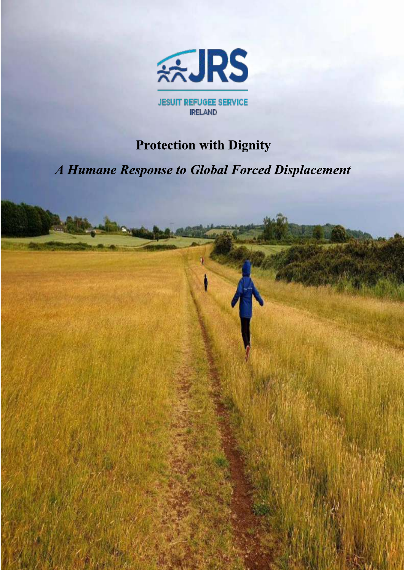

**JESUIT REFUGEE SERVICE IRELAND** 

# **Protection with Dignity**

A Humane Response to Global Forced Displacement

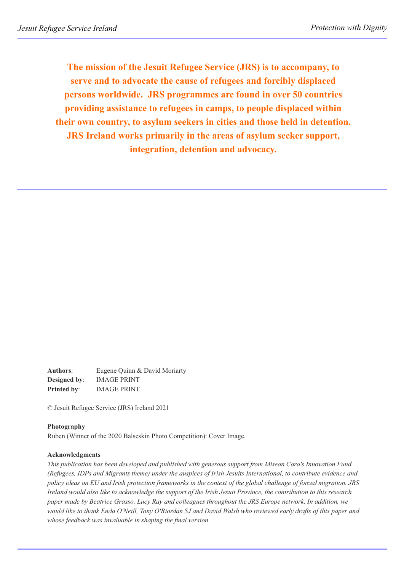**The mission of the Jesuit Refugee Service (JRS) is to accompany, to serve and to advocate the cause of refugees and forcibly displaced persons worldwide. JRS programmes are found in over 50 countries providing assistance to refugees in camps, to people displaced within their own country, to asylum seekers in cities and those held in detention. JRS Ireland works primarily in the areas of asylum seeker support, integration, detention and advocacy.**

**Authors**: Eugene Quinn & David Moriarty **Designed by**: IMAGE PRINT **Printed by**: IMAGE PRINT

© Jesuit Refugee Service (JRS) Ireland 2021

#### **Photography**

Ruben (Winner of the 2020 Balseskin Photo Competition): Cover Image.

#### **Acknowledgments**

*This publication has been developed and published with generous support from Misean Cara's Innovation Fund (Refugees, IDPs and Migrants theme) under the auspices of Irish Jesuits International, to contribute evidence and policy ideas on EU and Irish protection frameworks in the context of the global challenge of forced migration. JRS Ireland would also like to acknowledge the support of the Irish Jesuit Province, the contribution to this research paper made by Beatrice Grasso, Lucy Ray and colleagues throughout the JRS Europe network. In addition, we would like to thank Enda O'Neill, Tony O'Riordan SJ and David Walsh who reviewed early drafts of this paper and whose feedback was invaluable in shaping the final version.*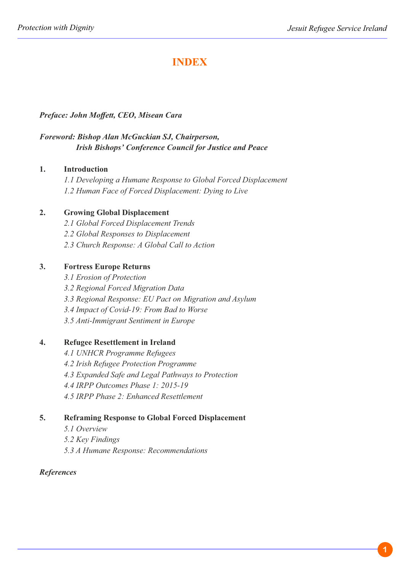## **INDEX**

### *Preface: John Moffett, CEO, Misean Cara*

### *Foreword: Bishop Alan McGuckian SJ, Chairperson, Irish Bishops' Conference Council for Justice and Peace*

#### **1. Introduction**

*1.1 Developing a Humane Response to Global Forced Displacement 1.2 Human Face of Forced Displacement: Dying to Live*

### **2. Growing Global Displacement**

- *2.1 Global Forced Displacement Trends*
- *2.2 Global Responses to Displacement*
- *2.3 Church Response: A Global Call to Action*

### **3. Fortress Europe Returns**

- *3.1 Erosion of Protection*
- *3.2 Regional Forced Migration Data*
- *3.3 Regional Response: EU Pact on Migration and Asylum*
- *3.4 Impact of Covid-19: From Bad to Worse*
- *3.5 Anti-Immigrant Sentiment in Europe*

### **4. Refugee Resettlement in Ireland**

- *4.1 UNHCR Programme Refugees*
- *4.2 Irish Refugee Protection Programme*
- *4.3 Expanded Safe and Legal Pathways to Protection*
- *4.4 IRPP Outcomes Phase 1: 2015-19*
- *4.5 IRPP Phase 2: Enhanced Resettlement*

#### **5. Reframing Response to Global Forced Displacement**

- *5.1 Overview*
- *5.2 Key Findings*
- *5.3 A Humane Response: Recommendations*

#### *References*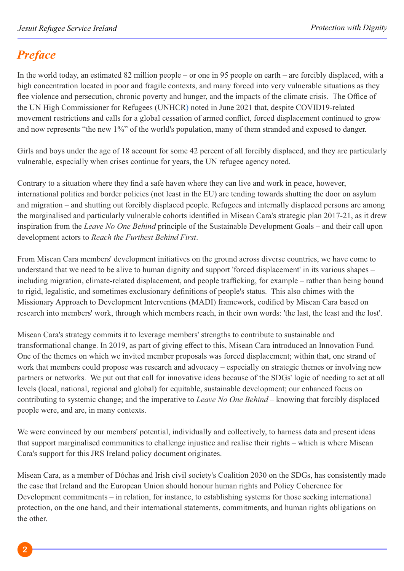# *Preface*

In the world today, an estimated 82 million people – or one in 95 people on earth – are forcibly displaced, with a high concentration located in poor and fragile contexts, and many forced into very vulnerable situations as they flee violence and persecution, chronic poverty and hunger, and the impacts of the climate crisis. The Office of the UN High Commissioner for Refugees (UNHCR) noted in June 2021 that, despite COVID19-related movement restrictions and calls for a global cessation of armed conflict, forced displacement continued to grow and now represents "the new 1%" of the world's population, many of them stranded and exposed to danger.

Girls and boys under the age of 18 account for some 42 percent of all forcibly displaced, and they are particularly vulnerable, especially when crises continue for years, the UN refugee agency noted.

Contrary to a situation where they find a safe haven where they can live and work in peace, however, international politics and border policies (not least in the EU) are tending towards shutting the door on asylum and migration – and shutting out forcibly displaced people. Refugees and internally displaced persons are among the marginalised and particularly vulnerable cohorts identified in Misean Cara's strategic plan 2017-21, as it drew inspiration from the *Leave No One Behind* principle of the Sustainable Development Goals – and their call upon development actors to *Reach the Furthest Behind First*.

From Misean Cara members' development initiatives on the ground across diverse countries, we have come to understand that we need to be alive to human dignity and support 'forced displacement' in its various shapes – including migration, climate-related displacement, and people trafficking, for example – rather than being bound to rigid, legalistic, and sometimes exclusionary definitions of people's status. This also chimes with the Missionary Approach to Development Interventions (MADI) framework, codified by Misean Cara based on research into members' work, through which members reach, in their own words: 'the last, the least and the lost'.

Misean Cara's strategy commits it to leverage members' strengths to contribute to sustainable and transformational change. In 2019, as part of giving effect to this, Misean Cara introduced an Innovation Fund. One of the themes on which we invited member proposals was forced displacement; within that, one strand of work that members could propose was research and advocacy – especially on strategic themes or involving new partners or networks. We put out that call for innovative ideas because of the SDGs' logic of needing to act at all levels (local, national, regional and global) for equitable, sustainable development; our enhanced focus on contributing to systemic change; and the imperative to *Leave No One Behind* – knowing that forcibly displaced people were, and are, in many contexts.

We were convinced by our members' potential, individually and collectively, to harness data and present ideas that support marginalised communities to challenge injustice and realise their rights – which is where Misean Cara's support for this JRS Ireland policy document originates.

Misean Cara, as a member of Dóchas and Irish civil society's Coalition 2030 on the SDGs, has consistently made the case that Ireland and the European Union should honour human rights and Policy Coherence for Development commitments – in relation, for instance, to establishing systems for those seeking international protection, on the one hand, and their international statements, commitments, and human rights obligations on the other.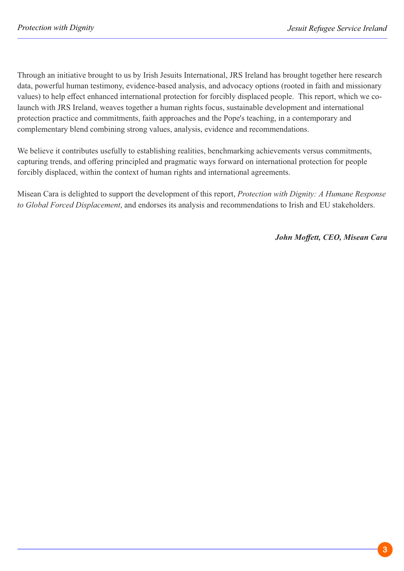Through an initiative brought to us by Irish Jesuits International, JRS Ireland has brought together here research data, powerful human testimony, evidence-based analysis, and advocacy options (rooted in faith and missionary values) to help effect enhanced international protection for forcibly displaced people. This report, which we colaunch with JRS Ireland, weaves together a human rights focus, sustainable development and international protection practice and commitments, faith approaches and the Pope's teaching, in a contemporary and complementary blend combining strong values, analysis, evidence and recommendations.

We believe it contributes usefully to establishing realities, benchmarking achievements versus commitments, capturing trends, and offering principled and pragmatic ways forward on international protection for people forcibly displaced, within the context of human rights and international agreements.

Misean Cara is delighted to support the development of this report, *Protection with Dignity: A Humane Response to Global Forced Displacement*, and endorses its analysis and recommendations to Irish and EU stakeholders.

*John Moffett, CEO, Misean Cara*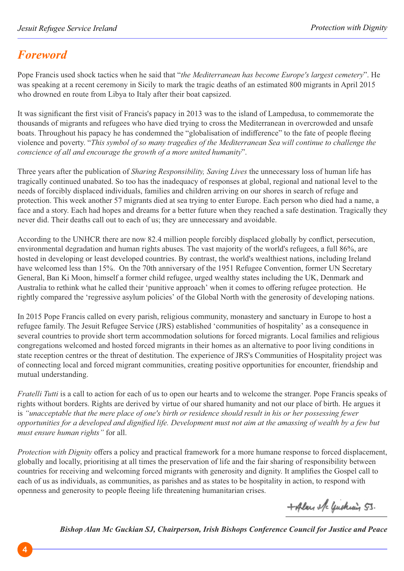# *Foreword*

Pope Francis used shock tactics when he said that "*the Mediterranean has become Europe's largest cemetery*". He was speaking at a recent ceremony in Sicily to mark the tragic deaths of an estimated 800 migrants in April 2015 who drowned en route from Libya to Italy after their boat capsized.

It was significant the first visit of Francis's papacy in 2013 was to the island of Lampedusa, to commemorate the thousands of migrants and refugees who have died trying to cross the Mediterranean in overcrowded and unsafe boats. Throughout his papacy he has condemned the "globalisation of indifference" to the fate of people fleeing violence and poverty. "*This symbol of so many tragedies of the Mediterranean Sea will continue to challenge the conscience of all and encourage the growth of a more united humanity*".

Three years after the publication of *Sharing Responsibility, Saving Lives* the unnecessary loss of human life has tragically continued unabated. So too has the inadequacy of responses at global, regional and national level to the needs of forcibly displaced individuals, families and children arriving on our shores in search of refuge and protection. This week another 57 migrants died at sea trying to enter Europe. Each person who died had a name, a face and a story. Each had hopes and dreams for a better future when they reached a safe destination. Tragically they never did. Their deaths call out to each of us; they are unnecessary and avoidable.

According to the UNHCR there are now 82.4 million people forcibly displaced globally by conflict, persecution, environmental degradation and human rights abuses. The vast majority of the world's refugees, a full 86%, are hosted in developing or least developed countries. By contrast, the world's wealthiest nations, including Ireland have welcomed less than 15%. On the 70th anniversary of the 1951 Refugee Convention, former UN Secretary General, Ban Ki Moon, himself a former child refugee, urged wealthy states including the UK, Denmark and Australia to rethink what he called their 'punitive approach' when it comes to offering refugee protection. He rightly compared the 'regressive asylum policies' of the Global North with the generosity of developing nations.

In 2015 Pope Francis called on every parish, religious community, monastery and sanctuary in Europe to host a refugee family. The Jesuit Refugee Service (JRS) established 'communities of hospitality' as a consequence in several countries to provide short term accommodation solutions for forced migrants. Local families and religious congregations welcomed and hosted forced migrants in their homes as an alternative to poor living conditions in state reception centres or the threat of destitution. The experience of JRS's Communities of Hospitality project was of connecting local and forced migrant communities, creating positive opportunities for encounter, friendship and mutual understanding.

*Fratelli Tutti* is a call to action for each of us to open our hearts and to welcome the stranger. Pope Francis speaks of rights without borders. Rights are derived by virtue of our shared humanity and not our place of birth. He argues it is *"unacceptable that the mere place of one's birth or residence should result in his or her possessing fewer opportunities for a developed and dignified life. Development must not aim at the amassing of wealth by a few but must ensure human rights"* for all.

*Protection with Dignity* offers a policy and practical framework for a more humane response to forced displacement, globally and locally, prioritising at all times the preservation of life and the fair sharing of responsibility between countries for receiving and welcoming forced migrants with generosity and dignity. It amplifies the Gospel call to each of us as individuals, as communities, as parishes and as states to be hospitality in action, to respond with openness and generosity to people fleeing life threatening humanitarian crises.

+Alan ele Guchiain 53.

*Bishop Alan Mc Guckian SJ, Chairperson, Irish Bishops Conference Council for Justice and Peace*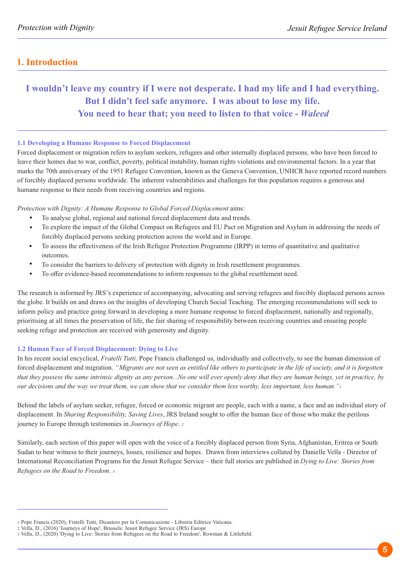## **1. Introduction**

## **I wouldn't leave my country if I were not desperate. I had my life and I had everything. But I didn't feel safe anymore. I was about to lose my life. You need to hear that; you need to listen to that voice -** *Waleed*

#### **1.1 Developing a Humane Response to Forced Displacement**

Forced displacement or migration refers to asylum seekers, refugees and other internally displaced persons, who have been forced to leave their homes due to war, conflict, poverty, political instability, human rights violations and environmental factors. In a year that marks the 70th anniversary of the 1951 Refugee Convention, known as the Geneva Convention, UNHCR have reported record numbers of forcibly displaced persons worldwide. The inherent vulnerabilities and challenges for this population requires a generous and humane response to their needs from receiving countries and regions.

*Protection with Dignity: A Humane Response to Global Forced Displacement* aims:

- To analyse global, regional and national forced displacement data and trends.  $\bullet$
- To explore the impact of the Global Compact on Refugees and EU Pact on Migration and Asylum in addressing the needs of forcibly displaced persons seeking protection across the world and in Europe.
- $\bullet$ To assess the effectiveness of the Irish Refugee Protection Programme (IRPP) in terms of quantitative and qualitative outcomes.
- $\bullet$ To consider the barriers to delivery of protection with dignity in Irish resettlement programmes.
- $\bullet$ To offer evidence-based recommendations to inform responses to the global resettlement need.

The research is informed by JRS's experience of accompanying, advocating and serving refugees and forcibly displaced persons across the globe. It builds on and draws on the insights of developing Church Social Teaching. The emerging recommendations will seek to inform policy and practice going forward in developing a more humane response to forced displacement, nationally and regionally, prioritising at all times the preservation of life, the fair sharing of responsibility between receiving countries and ensuring people seeking refuge and protection are received with generosity and dignity.

#### **1.2 Human Face of Forced Displacement: Dying to Live**

In his recent social encyclical, *Fratelli Tutti,* Pope Francis challenged us, individually and collectively, to see the human dimension of forced displacement and migration. *"Migrants are not seen as entitled like others to participate in the life of society, and it is forgotten that they possess the same intrinsic dignity as any person...No one will ever openly deny that they are human beings, yet in practice, by our decisions and the way we treat them, we can show that we consider them less worthy, less important, less human."<sup>1</sup>*

Behind the labels of asylum seeker, refugee, forced or economic migrant are people, each with a name, a face and an individual story of displacement. In *Sharing Responsibility, Saving Lives*, JRS Ireland sought to offer the human face of those who make the perilous journey to Europe through testimonies in *Journeys of Hope*. *<sup>2</sup>*

Similarly, each section of this paper will open with the voice of a forcibly displaced person from Syria, Afghanistan, Eritrea or South Sudan to bear witness to their journeys, losses, resilience and hopes. Drawn from interviews collated by Danielle Vella - Director of International Reconciliation Programs for the Jesuit Refugee Service – their full stories are published in *Dying to Live: Stories from Refugees on the Road to Freedom*. *3*

<sup>1</sup> Pope Francis (2020), Fratelli Tutti, Dicastero per la Comunicazione - Libreria Editrice Vaticana.

<sup>2</sup> Vella, D., (2016) 'Journeys of Hope', Brussels: Jesuit Refugee Service (JRS) Europe

<sup>3</sup> Vella, D., (2020) 'Dying to Live: Stories from Refugees on the Road to Freedom', Rowman & Littlefield.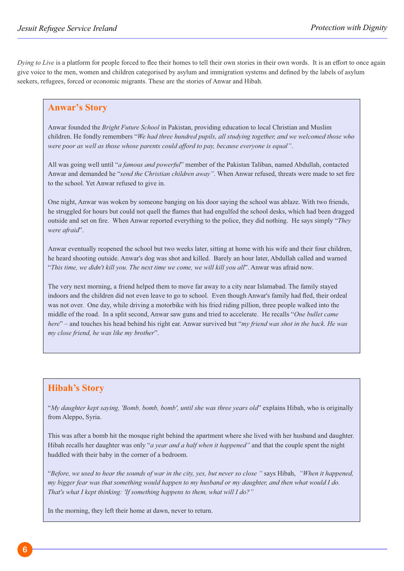*Dying to Live* is a platform for people forced to flee their homes to tell their own stories in their own words. It is an effort to once again give voice to the men, women and children categorised by asylum and immigration systems and defined by the labels of asylum seekers, refugees, forced or economic migrants. These are the stories of Anwar and Hibah.

### **Anwar's Story**

Anwar founded the *Bright Future School* in Pakistan, providing education to local Christian and Muslim children. He fondly remembers "*We had three hundred pupils, all studying together, and we welcomed those who were poor as well as those whose parents could afford to pay, because everyone is equal"*.

All was going well until "*a famous and powerful*" member of the Pakistan Taliban, named Abdullah, contacted Anwar and demanded he "*send the Christian children away"*. When Anwar refused, threats were made to set fire to the school. Yet Anwar refused to give in.

One night, Anwar was woken by someone banging on his door saying the school was ablaze. With two friends, he struggled for hours but could not quell the flames that had engulfed the school desks, which had been dragged outside and set on fire. When Anwar reported everything to the police, they did nothing. He says simply "*They were afraid*".

Anwar eventually reopened the school but two weeks later, sitting at home with his wife and their four children, he heard shooting outside. Anwar's dog was shot and killed. Barely an hour later, Abdullah called and warned "*This time, we didn't kill you. The next time we come, we will kill you all*". Anwar was afraid now.

The very next morning, a friend helped them to move far away to a city near Islamabad. The family stayed indoors and the children did not even leave to go to school. Even though Anwar's family had fled, their ordeal was not over. One day, while driving a motorbike with his fried riding pillion, three people walked into the middle of the road. In a split second, Anwar saw guns and tried to accelerate. He recalls "*One bullet came here*" – and touches his head behind his right ear. Anwar survived but "*my friend was shot in the back. He was my close friend, he was like my brother*".

## **Hibah's Story**

"*My daughter kept saying, 'Bomb, bomb, bomb', until she was three years old*" explains Hibah, who is originally from Aleppo, Syria.

This was after a bomb hit the mosque right behind the apartment where she lived with her husband and daughter. Hibah recalls her daughter was only "*a year and a half when it happened"* and that the couple spent the night huddled with their baby in the corner of a bedroom.

"*Before, we used to hear the sounds of war in the city, yes, but never so close "* says Hibah, *"When it happened, my bigger fear was that something would happen to my husband or my daughter, and then what would I do. That's what I kept thinking: 'If something happens to them, what will I do?"* 

In the morning, they left their home at dawn, never to return.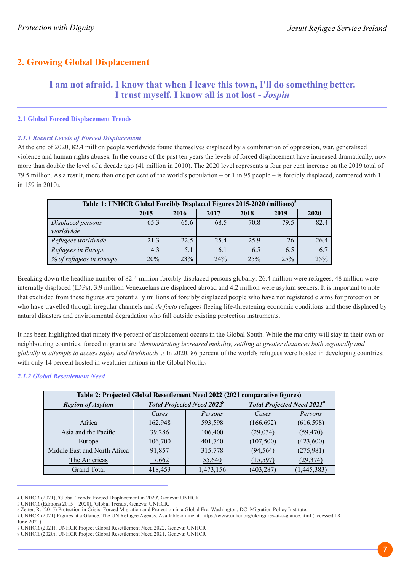## **2. Growing Global Displacement**

## **I am not afraid. I know that when I leave this town, I'll do something better. I trust myself. I know all is not lost -** *Jospin*

#### **2.1 Global Forced Displacement Trends**

#### *2.1.1 Record Levels of Forced Displacement*

At the end of 2020, 82.4 million people worldwide found themselves displaced by a combination of oppression, war, generalised violence and human rights abuses. In the course of the past ten years the levels of forced displacement have increased dramatically, now more than double the level of a decade ago (41 million in 2010). The 2020 level represents a four per cent increase on the 2019 total of 79.5 million. As a result, more than one per cent of the world's population – or 1 in 95 people – is forcibly displaced, compared with 1 in 159 in 20104.

| Table 1: UNHCR Global Forcibly Displaced Figures 2015-2020 (millions) <sup>5</sup> |                                              |      |      |      |      |      |  |  |  |
|------------------------------------------------------------------------------------|----------------------------------------------|------|------|------|------|------|--|--|--|
|                                                                                    | 2015<br>2016<br>2017<br>2018<br>2019<br>2020 |      |      |      |      |      |  |  |  |
| Displaced persons                                                                  | 65.3                                         | 65.6 | 68.5 | 70.8 | 79.5 | 82.4 |  |  |  |
| worldwide                                                                          |                                              |      |      |      |      |      |  |  |  |
| Refugees worldwide                                                                 | 21.3                                         | 22.5 | 25.4 | 25.9 | 26   | 26.4 |  |  |  |
| Refugees in Europe                                                                 | 4.3                                          | 5.1  | 6.1  | 6.5  | 6.5  | 6.7  |  |  |  |
| % of refugees in Europe                                                            | 20%                                          | 23%  | 24%  | 25%  | 25%  | 25%  |  |  |  |

Breaking down the headline number of 82.4 million forcibly displaced persons globally: 26.4 million were refugees, 48 million were internally displaced (IDPs), 3.9 million Venezuelans are displaced abroad and 4.2 million were asylum seekers. It is important to note that excluded from these figures are potentially millions of forcibly displaced people who have not registered claims for protection or who have travelled through irregular channels and *de facto* refugees fleeing life-threatening economic conditions and those displaced by natural disasters and environmental degradation who fall outside existing protection instruments.

It has been highlighted that ninety five percent of displacement occurs in the Global South. While the majority will stay in their own or neighbouring countries, forced migrants are '*demonstrating increased mobility, settling at greater distances both regionally and globally in attempts to access safety and livelihoods*'.6 In 2020, 86 percent of the world's refugees were hosted in developing countries; with only 14 percent hosted in wealthier nations in the Global North.<sup>7</sup>

#### *2.1.2 Global Resettlement Need*

| Table 2: Projected Global Resettlement Need 2022 (2021 comparative figures) |         |                                   |                                   |             |  |
|-----------------------------------------------------------------------------|---------|-----------------------------------|-----------------------------------|-------------|--|
| <b>Region of Asylum</b>                                                     |         | <b>Total Projected Need 20228</b> | <b>Total Projected Need 20219</b> |             |  |
|                                                                             | Cases   | Persons                           | Cases                             | Persons     |  |
| Africa                                                                      | 162,948 | 593,598                           | (166, 692)                        | (616, 598)  |  |
| Asia and the Pacific                                                        | 39,286  | 106,400                           | (29, 034)                         | (59, 470)   |  |
| Europe                                                                      | 106,700 | 401,740                           | (107, 500)                        | (423,600)   |  |
| Middle East and North Africa                                                | 91,857  | 315,778                           | (94, 564)                         | (275,981)   |  |
| The Americas                                                                | 17,662  | 55,640                            | (15, 597)                         | (29, 374)   |  |
| <b>Grand Total</b>                                                          | 418,453 | 1,473,156                         | (403, 287)                        | (1,445,383) |  |

<sup>4</sup> UNHCR (2021), 'Global Trends: Forced Displacement in 2020', Geneva: UNHCR.

- 6 Zetter, R. (2015) Protection in Crisis: Forced Migration and Protection in a Global Era. Washington, DC: Migration Policy Institute.
- 7 UNHCR (2021) Figures at a Glance. The UN Refugee Agency. Available online at: https://www.unhcr.org/uk/figures-at-a-glance.html (accessed 18
- June 2021).
- 8 UNHCR (2021), UNHCR Project Global Resettlement Need 2022, Geneva: UNHCR
- 9 UNHCR (2020), UNHCR Project Global Resettlement Need 2021, Geneva: UNHCR

<sup>5</sup> UNHCR (Editions 2015 – 2020), 'Global Trends', Geneva: UNHCR.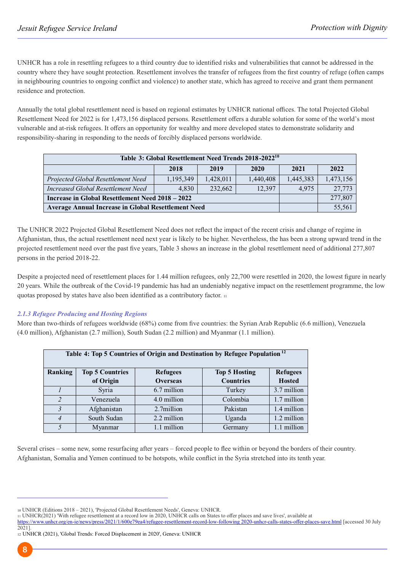UNHCR has a role in resettling refugees to a third country due to identified risks and vulnerabilities that cannot be addressed in the country where they have sought protection. Resettlement involves the transfer of refugees from the first country of refuge (often camps in neighbouring countries to ongoing conflict and violence) to another state, which has agreed to receive and grant them permanent residence and protection.

Annually the total global resettlement need is based on regional estimates by UNHCR national offices. The total Projected Global Resettlement Need for 2022 is for 1,473,156 displaced persons. Resettlement offers a durable solution for some of the world's most vulnerable and at-risk refugees. It offers an opportunity for wealthy and more developed states to demonstrate solidarity and responsibility-sharing in responding to the needs of forcibly displaced persons worldwide.

| Table 3: Global Resettlement Need Trends 2018-2022 <sup>10</sup>        |           |           |           |           |           |  |  |
|-------------------------------------------------------------------------|-----------|-----------|-----------|-----------|-----------|--|--|
| 2019<br>2018<br>2022<br>2020<br>2021                                    |           |           |           |           |           |  |  |
| Projected Global Resettlement Need                                      | 1,195,349 | 1,428,011 | 1,440,408 | 1,445,383 | 1,473,156 |  |  |
| <b>Increased Global Resettlement Need</b><br>4.830<br>232,662<br>12.397 |           |           |           |           | 27,773    |  |  |
| Increase in Global Resettlement Need 2018 – 2022                        |           |           |           |           | 277,807   |  |  |
| <b>Average Annual Increase in Global Resettlement Need</b>              |           |           |           |           | 55,561    |  |  |

The UNHCR 2022 Projected Global Resettlement Need does not reflect the impact of the recent crisis and change of regime in Afghanistan, thus, the actual resettlement need next year is likely to be higher. Nevertheless, the has been a strong upward trend in the projected resettlement need over the past five years, Table 3 shows an increase in the global resettlement need of additional 277,807 persons in the period 2018-22.

Despite a projected need of resettlement places for 1.44 million refugees, only 22,700 were resettled in 2020, the lowest figure in nearly 20 years. While the outbreak of the Covid-19 pandemic has had an undeniably negative impact on the resettlement programme, the low quotas proposed by states have also been identified as a contributory factor. <sup>11</sup>

#### *2.1.3 Refugee Producing and Hosting Regions*

More than two-thirds of refugees worldwide (68%) come from five countries: the Syrian Arab Republic (6.6 million), Venezuela (4.0 million), Afghanistan (2.7 million), South Sudan (2.2 million) and Myanmar (1.1 million).

| Table 4: Top 5 Countries of Origin and Destination by Refugee Population <sup>12</sup> |                        |                 |                      |                 |  |
|----------------------------------------------------------------------------------------|------------------------|-----------------|----------------------|-----------------|--|
|                                                                                        |                        |                 |                      |                 |  |
| Ranking                                                                                | <b>Top 5 Countries</b> | <b>Refugees</b> | <b>Top 5 Hosting</b> | <b>Refugees</b> |  |
|                                                                                        | of Origin              | <b>Overseas</b> | <b>Countries</b>     | <b>Hosted</b>   |  |
|                                                                                        | Syria                  | 6.7 million     | Turkey               | 3.7 million     |  |
| $\overline{c}$                                                                         | Venezuela              | 4.0 million     | Colombia             | 1.7 million     |  |
| 3                                                                                      | Afghanistan            | 2.7million      | Pakistan             | 1.4 million     |  |
|                                                                                        | South Sudan            | 2.2 million     | Uganda               | 1.2 million     |  |
|                                                                                        | Myanmar                | 1.1 million     | Germany              | 1.1 million     |  |

Several crises – some new, some resurfacing after years – forced people to flee within or beyond the borders of their country. Afghanistan, Somalia and Yemen continued to be hotspots, while conflict in the Syria stretched into its tenth year.

<sup>10</sup> UNHCR (Editions 2018 – 2021), 'Projected Global Resettlement Needs', Geneva: UNHCR.

<sup>11</sup> UNHCR(2021) 'With refugee resettlement at a record low in 2020, UNHCR calls on States to offer places and save lives', available at

https://www.unhcr.org/en-ie/news/press/2021/1/600e79ea4/refugee-resettlement-record-low-following 2020-unhcr-calls-states-offer-places-save.html [accessed 30 July 2021].

<sup>12</sup>UNHCR (2021), 'Global Trends: Forced Displacement in 2020', Geneva: UNHCR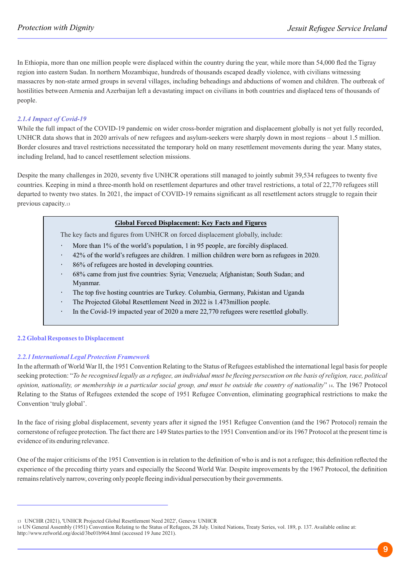In Ethiopia, more than one million people were displaced within the country during the year, while more than 54,000 fled the Tigray region into eastern Sudan. In northern Mozambique, hundreds of thousands escaped deadly violence, with civilians witnessing massacres by non-state armed groups in several villages, including beheadings and abductions of women and children. The outbreak of hostilities between Armenia and Azerbaijan left a devastating impact on civilians in both countries and displaced tens of thousands of people.

#### *2.1.4 Impact of Covid-19*

While the full impact of the COVID-19 pandemic on wider cross-border migration and displacement globally is not yet fully recorded, UNHCR data shows that in 2020 arrivals of new refugees and asylum-seekers were sharply down in most regions – about 1.5 million. Border closures and travel restrictions necessitated the temporary hold on many resettlement movements during the year. Many states, including Ireland, had to cancel resettlement selection missions.

Despite the many challenges in 2020, seventy five UNHCR operations still managed to jointly submit 39,534 refugees to twenty five countries. Keeping in mind a three-month hold on resettlement departures and other travel restrictions, a total of 22,770 refugees still departed to twenty two states. In 2021, the impact of COVID-19 remains significant as all resettlement actors struggle to regain their previous capacity.<sup>13</sup>

#### **Global Forced Displacement: Key Facts and Figures**

The key facts and figures from UNHCR on forced displacement globally, include:

- More than 1% of the world's population, 1 in 95 people, are forcibly displaced.
- 42% of the world's refugees are children. 1 million children were born as refugees in 2020.
- 86% of refugees are hosted in developing countries.
- 68% came from just five countries: Syria; Venezuela; Afghanistan; South Sudan; and Myanmar.
- The top five hosting countries are Turkey. Columbia, Germany, Pakistan and Uganda
- The Projected Global Resettlement Need in 2022 is 1.473million people. l,
- In the Covid-19 impacted year of 2020 a mere 22,770 refugees were resettled globally.

#### **2.2 Global Responses to Displacement**

#### *2.2.1 International Legal Protection Framework*

In the aftermath of World War II, the 1951 Convention Relating to the Status of Refugees established the international legal basis for people seeking protection: "*To be recognised legally as a refugee, an individual must be fleeing persecution on the basis of religion, race, political opinion, nationality, or membership in a particular social group, and must be outside the country of nationality*" <sup>14</sup>. The 1967 Protocol Relating to the Status of Refugees extended the scope of 1951 Refugee Convention, eliminating geographical restrictions to make the Convention 'truly global'.

In the face of rising global displacement, seventy years after it signed the 1951 Refugee Convention (and the 1967 Protocol) remain the cornerstone of refugee protection. The fact there are 149 States parties to the 1951 Convention and/or its 1967 Protocol at the present time is evidence of its enduring relevance.

One of the major criticisms of the 1951 Convention is in relation to the definition of who is and is not a refugee; this definition reflected the experience of the preceding thirty years and especially the Second World War. Despite improvements by the 1967 Protocol, the definition remains relatively narrow, covering only people fleeing individual persecution by their governments.

<sup>13</sup> UNCHR (2021), 'UNHCR Projected Global Resettlement Need 2022', Geneva: UNHCR

<sup>14</sup> UN General Assembly (1951) Convention Relating to the Status of Refugees, 28 July. United Nations, Treaty Series, vol. 189, p. 137. Available online at: http://www.refworld.org/docid/3be01b964.html (accessed 19 June 2021).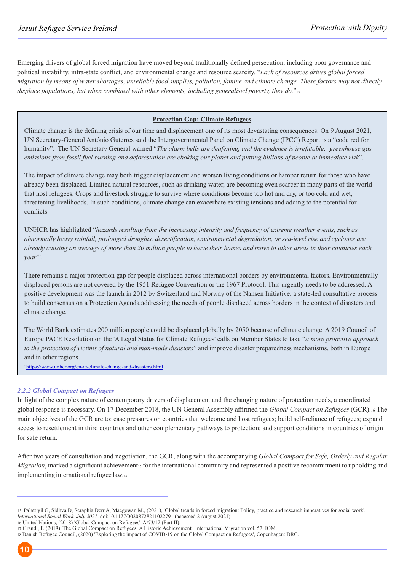Emerging drivers of global forced migration have moved beyond traditionally defined persecution, including poor governance and political instability, intra-state conflict, and environmental change and resource scarcity. "*Lack of resources drives global forced migration by means of water shortages, unreliable food supplies, pollution, famine and climate change. These factors may not directly displace populations, but when combined with other elements, including generalised poverty, they do.*"<sup>15</sup>

#### **Protection Gap: Climate Refugees**

Climate change is the defining crisis of our time and displacement one of its most devastating consequences. On 9 August 2021, UN Secretary-General António Guterres said the Intergovernmental Panel on Climate Change (IPCC) Report is a "code red for humanity". The UN Secretary General warned "*The alarm bells are deafening, and the evidence is irrefutable: greenhouse gas emissions from fossil fuel burning and deforestation are choking our planet and putting billions of people at immediate risk*".

The impact of climate change may both trigger displacement and worsen living conditions or hamper return for those who have already been displaced. Limited natural resources, such as drinking water, are becoming even scarcer in many parts of the world that host refugees. Crops and livestock struggle to survive where conditions become too hot and dry, or too cold and wet, threatening livelihoods. In such conditions, climate change can exacerbate existing tensions and adding to the potential for conflicts.

UNHCR has highlighted "*hazards resulting from the increasing intensity and frequency of extreme weather events, such as abnormally heavy rainfall, prolonged droughts, desertification, environmental degradation, or sea-level rise and cyclones are already causing an average of more than 20 million people to leave their homes and move to other areas in their countries each*  1 *year*" .

There remains a major protection gap for people displaced across international borders by environmental factors. Environmentally displaced persons are not covered by the 1951 Refugee Convention or the 1967 Protocol. This urgently needs to be addressed. A positive development was the launch in 2012 by Switzerland and Norway of the Nansen Initiative, a state-led consultative process to build consensus on a Protection Agenda addressing the needs of people displaced across borders in the context of disasters and climate change.

The World Bank estimates 200 million people could be displaced globally by 2050 because of climate change. A 2019 Council of Europe PACE Resolution on the 'A Legal Status for Climate Refugees' calls on Member States to take "*a more proactive approach to the protection of victims of natural and man-made disasters*" and improve disaster preparedness mechanisms, both in Europe and in other regions.

<sup>1</sup>https://www.unhcr.org/en-ie/climate-change-and-disasters.html

#### *2.2.2 Global Compact on Refugees*

In light of the complex nature of contemporary drivers of displacement and the changing nature of protection needs, a coordinated global response is necessary. On 17 December 2018, the UN General Assembly affirmed the *Global Compact on Refugees* (GCR).<sup>16</sup> The main objectives of the GCR are to: ease pressures on countries that welcome and host refugees; build self-reliance of refugees; expand access to resettlement in third countries and other complementary pathways to protection; and support conditions in countries of origin for safe return.

After two years of consultation and negotiation, the GCR, along with the accompanying *Global Compact for Safe, Orderly and Regular Migration*, marked a significant achievement<sub>17</sub> for the international community and represented a positive recommitment to upholding and implementing international refugee law.18

<sup>18</sup> Danish Refugee Council, (2020) 'Exploring the impact of COVID-19 on the Global Compact on Refugees', Copenhagen: DRC.



<sup>15</sup> Palattiyil G, Sidhva D, Seraphia Derr A, Macgowan M., (2021), 'Global trends in forced migration: Policy, practice and research imperatives for social work'. *International Social Work. July 2021*. doi:10.1177/00208728211022791 (accessed 2 August 2021)

<sup>16</sup> United Nations, (2018) 'Global Compact on Refugees', A/73/12 (Part II).

<sup>17</sup> Grandi, F. (2019) 'The Global Compact on Refugees: A Historic Achievement', International Migration vol. 57, IOM.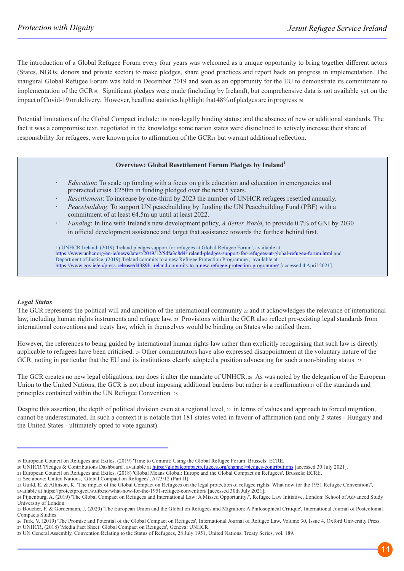The introduction of a Global Refugee Forum every four years was welcomed as a unique opportunity to bring together different actors (States, NGOs, donors and private sector) to make pledges, share good practices and report back on progress in implementation. The inaugural Global Refugee Forum was held in December 2019 and seen as an opportunity for the EU to demonstrate its commitment to implementation of the GCR19. Significant pledges were made (including by Ireland), but comprehensive data is not available yet on the impact of Covid-19 on delivery. However, headline statistics highlight that 48% of pledges are in progress. 20

Potential limitations of the Global Compact include: its non-legally binding status; and the absence of new or additional standards. The fact it was a compromise text, negotiated in the knowledge some nation states were disinclined to actively increase their share of responsibility for refugees, were known prior to affirmation of the GCR21 but warrant additional reflection.

#### **<sup>1</sup> Overview: Global Resettlement Forum Pledges by Ireland**

- *Education*: To scale up funding with a focus on girls education and education in emergencies and protracted crisis. €250m in funding pledged over the next 5 years.
- *Resettlement*: To increase by one-third by 2023 the number of UNHCR refugees resettled annually.
- *Peacebuilding*: To support UN peacebuilding by funding the UN Peacebuilding Fund (PBF) with a commitment of at least €4.5m up until at least 2022.
- *Funding*: In line with Ireland's new development policy, *A Better World*, to provide 0.7% of GNI by 2030 in official development assistance and target that assistance towards the furthest behind first.

1) UNHCR Ireland, (2019) 'Ireland pledges support for refugees at Global Refugee Forum', available at https://www.unhcr.org/en-ie/news/latest/2019/12/5dfa3c8d4/ireland-pledges-support-for-refugees-at-global-refugee-forum.html and Department of Justice, (2019) 'Ireland commits to a new Refugee Protection Programme', available at https://www.gov.ie/en/press-release/d4389b-ireland-commits-to-a-new-refugee-protection-programme/ [accessed 4 April 2021].

#### *Legal Status*

The GCR represents the political will and ambition of the international community 22 and it acknowledges the relevance of international law, including human rights instruments and refugee law. 23 Provisions within the GCR also reflect pre-existing legal standards from international conventions and treaty law, which in themselves would be binding on States who ratified them.

However, the references to being guided by international human rights law rather than explicitly recognising that such law is directly applicable to refugees have been criticised. 24 Other commentators have also expressed disappointment at the voluntary nature of the GCR, noting in particular that the EU and its institutions clearly adopted a position advocating for such a non-binding status. 25

The GCR creates no new legal obligations, nor does it alter the mandate of UNHCR. 26 As was noted by the delegation of the European Union to the United Nations, the GCR is not about imposing additional burdens but rather is a reaffirmation 27 of the standards and principles contained within the UN Refugee Convention. <sup>28</sup>

Despite this assertion, the depth of political division even at a regional level, 29 in terms of values and approach to forced migration, cannot be underestimated. In such a context it is notable that 181 states voted in favour of affirmation (and only 2 states - Hungary and the United States - ultimately opted to vote against).

<sup>19</sup> European Council on Refugees and Exiles, (2019) 'Time to Commit: Using the Global Refugee Forum. Brussels: ECRE.

<sup>20</sup> UNHCR 'Pledges & Contributions Dashboard', available at https://globalcompactrefugees.org/channel/pledges-contributions [accessed 30 July 2021].

<sup>21</sup> European Council on Refugees and Exiles, (2018) 'Global Means Global: Europe and the Global Compact on Refugees'. Brussels: ECRE.

<sup>22</sup> See above: United Nations, 'Global Compact on Refugees', A/73/12 (Part II).

<sup>23</sup> Guild, E. & Allinson, K. 'The impact of the Global Compact on Refugees on the legal protection of refugee rights: What now for the 1951 Refugee Convention?', available at https://protectproject.w.uib.no/what-now-for-the-1951-refugee-convention/ [accessed 30th July 2021].

<sup>24</sup> Pijnenburg, A. (2019) 'The Global Compact on Refugees and International Law: A Missed Opportunity?', Refugee Law Initiative, London: School of Advanced Study University of London.

<sup>25</sup> Boucher, F. & Gordemann, J. (2020) 'The European Union and the Global on Refugees and Migration: A Philosophical Critique', International Journal of Postcolonial Compacts Studies.

<sup>26</sup> Turk, V. (2019) 'The Promise and Potential of the Global Compact on Refugees', International Journal of Refugee Law, Volume 30, Issue 4, Oxford University Press. 27 UNHCR, (2018) 'Media Fact Sheet: Global Compact on Refugees', Geneva: UNHCR.

<sup>28</sup> UN General Assembly, Convention Relating to the Status of Refugees, 28 July 1951, United Nations, Treaty Series, vol. 189.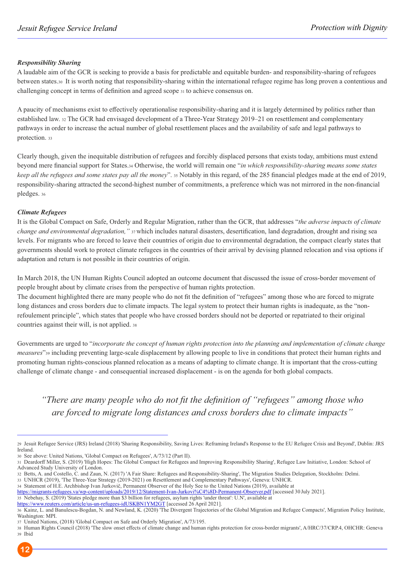#### *Responsibility Sharing*

A laudable aim of the GCR is seeking to provide a basis for predictable and equitable burden- and responsibility-sharing of refugees between states.30 It is worth noting that responsibility-sharing within the international refugee regime has long proven a contentious and challenging concept in terms of definition and agreed scope <sup>31</sup> to achieve consensus on.

A paucity of mechanisms exist to effectively operationalise responsibility-sharing and it is largely determined by politics rather than established law. <sup>32</sup> The GCR had envisaged development of a Three-Year Strategy 2019–21 on resettlement and complementary pathways in order to increase the actual number of global resettlement places and the availability of safe and legal pathways to protection. <sup>33</sup>

Clearly though, given the inequitable distribution of refugees and forcibly displaced persons that exists today, ambitions must extend beyond mere financial support for States.34 Otherwise, the world will remain one "*in which responsibility-sharing means some states keep all the refugees and some states pay all the money*". 35 Notably in this regard, of the 285 financial pledges made at the end of 2019, responsibility-sharing attracted the second-highest number of commitments, a preference which was not mirrored in the non-financial pledges. <sup>36</sup>

#### *Climate Refugees*

It is the Global Compact on Safe, Orderly and Regular Migration, rather than the GCR, that addresses "*the adverse impacts of climate change and environmental degradation,"* <sup>37</sup>which includes natural disasters, desertification, land degradation, drought and rising sea levels. For migrants who are forced to leave their countries of origin due to environmental degradation, the compact clearly states that governments should work to protect climate refugees in the countries of their arrival by devising planned relocation and visa options if adaptation and return is not possible in their countries of origin.

In March 2018, the UN Human Rights Council adopted an outcome document that discussed the issue of cross-border movement of people brought about by climate crises from the perspective of human rights protection.

The document highlighted there are many people who do not fit the definition of "refugees" among those who are forced to migrate long distances and cross borders due to climate impacts. The legal system to protect their human rights is inadequate, as the "nonrefoulement principle", which states that people who have crossed borders should not be deported or repatriated to their original countries against their will, is not applied. <sup>38</sup>

Governments are urged to "*incorporate the concept of human rights protection into the planning and implementation of climate change measures*"39 including preventing large-scale displacement by allowing people to live in conditions that protect their human rights and promoting human rights-conscious planned relocation as a means of adapting to climate change. It is important that the cross-cutting challenge of climate change - and consequential increased displacement - is on the agenda for both global compacts.

*"There are many people who do not fit the definition of "refugees" among those who are forced to migrate long distances and cross borders due to climate impacts"*

33 UNHCR (2019), 'The Three-Year Strategy (2019-2021) on Resettlement and Complementary Pathways', Geneva: UNHCR. 34 Statement of H.E. Archbishop Ivan Jurkovič, Permanent Observer of the Holy See to the United Nations (2019), available at

https://www.reuters.com/article/us-un-refugees-idUSKBN1YM2GT [accessed 26 April 2021].

<sup>38</sup> Human Rights Council (2018) 'The slow onset effects of climate change and human rights protection for cross-border migrants', A/HRC/37/CRP.4, OHCHR: Geneva 39 Ibid



<sup>29</sup> Jesuit Refugee Service (JRS) Ireland (2018) 'Sharing Responsibility, Saving Lives: Reframing Ireland's Response to the EU Refugee Crisis and Beyond', Dublin: JRS Ireland.

<sup>30</sup> See above: United Nations, 'Global Compact on Refugees', A/73/12 (Part II).

<sup>31</sup> Deardorff Miller, S. (2019) 'High Hopes: The Global Compact for Refugees and Improving Responsibility Sharing', Refugee Law Initiative, London: School of Advanced Study University of London.

<sup>32</sup> Betts, A. and Costello, C. and Zaun, N. (2017) 'A Fair Share: Refugees and Responsibility-Sharing', The Migration Studies Delegation, Stockholm: Delmi.

https://migrants-refugees.va/wp-content/uploads/2019/12/Statement-Ivan-Jurkovi%C4%8D-Permanent-Observer.pdf [accessed 30July 2021].

<sup>35</sup> Nebehay, S. (2019) 'States pledge more than \$3 billion for refugees, asylum rights 'under threat': U.N', available at

<sup>36</sup> Kainz, L. and Banulescu-Bogdan, N. and Newland, K. (2020) 'The Divergent Trajectories of the Global Migration and Refugee Compacts', Migration Policy Institute, Washington: MPI.

<sup>37</sup> United Nations, (2018) 'Global Compact on Safe and Orderly Migration', A/73/195.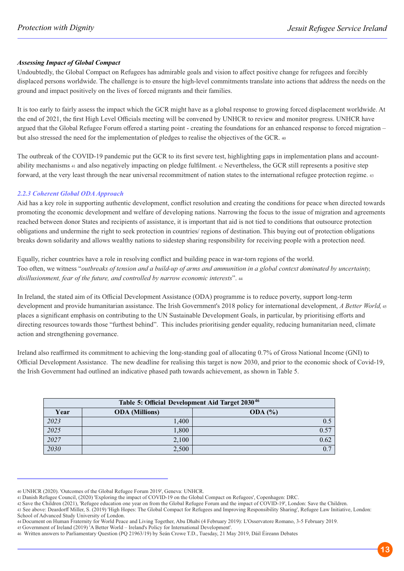#### *Assessing Impact of Global Compact*

Undoubtedly, the Global Compact on Refugees has admirable goals and vision to affect positive change for refugees and forcibly displaced persons worldwide. The challenge is to ensure the high-level commitments translate into actions that address the needs on the ground and impact positively on the lives of forced migrants and their families.

It is too early to fairly assess the impact which the GCR might have as a global response to growing forced displacement worldwide. At the end of 2021, the first High Level Officials meeting will be convened by UNHCR to review and monitor progress. UNHCR have argued that the Global Refugee Forum offered a starting point - creating the foundations for an enhanced response to forced migration – but also stressed the need for the implementation of pledges to realise the objectives of the GCR. <sup>40</sup>

The outbreak of the COVID-19 pandemic put the GCR to its first severe test, highlighting gaps in implementation plans and accountability mechanisms 41 and also negatively impacting on pledge fulfilment. 42 Nevertheless, the GCR still represents a positive step forward, at the very least through the near universal recommitment of nation states to the international refugee protection regime. <sup>43</sup>

#### *2.2.3 Coherent Global ODAApproach*

Aid has a key role in supporting authentic development, conflict resolution and creating the conditions for peace when directed towards promoting the economic development and welfare of developing nations. Narrowing the focus to the issue of migration and agreements reached between donor States and recipients of assistance, it is important that aid is not tied to conditions that outsource protection obligations and undermine the right to seek protection in countries/ regions of destination. This buying out of protection obligations breaks down solidarity and allows wealthy nations to sidestep sharing responsibility for receiving people with a protection need.

Equally, richer countries have a role in resolving conflict and building peace in war-torn regions of the world. Too often, we witness "*outbreaks of tension and a build-up of arms and ammunition in a global context dominated by uncertainty, disillusionment, fear of the future, and controlled by narrow economic interests*". <sup>44</sup>

In Ireland, the stated aim of its Official Development Assistance (ODA) programme is to reduce poverty, support long-term development and provide humanitarian assistance. The Irish Government's 2018 policy for international development, *A Better World,*<sup>45</sup> places a significant emphasis on contributing to the UN Sustainable Development Goals, in particular, by prioritising efforts and directing resources towards those "furthest behind". This includes prioritising gender equality, reducing humanitarian need, climate action and strengthening governance.

Ireland also reaffirmed its commitment to achieving the long-standing goal of allocating 0.7% of Gross National Income (GNI) to Official Development Assistance. The new deadline for realising this target is now 2030, and prior to the economic shock of Covid-19, the Irish Government had outlined an indicative phased path towards achievement, as shown in Table 5.

| Table 5: Official Development Aid Target 2030 <sup>46</sup> |                       |         |  |  |
|-------------------------------------------------------------|-----------------------|---------|--|--|
| Year                                                        | <b>ODA</b> (Millions) | ODA (%) |  |  |
| 2023                                                        | 1,400                 | 0.5     |  |  |
| 2025                                                        | 1,800                 | 0.57    |  |  |
| 2027                                                        | 2,100                 | 0.62    |  |  |
| 2030                                                        | 2,500                 | 0.7     |  |  |

<sup>40</sup> UNHCR (2020). 'Outcomes of the Global Refugee Forum 2019', Geneva: UNHCR.

<sup>41</sup> Danish Refugee Council, (2020) 'Exploring the impact of COVID-19 on the Global Compact on Refugees', Copenhagen: DRC.

<sup>42</sup> Save the Children (2021), 'Refugee education one year on from the Global Refugee Forum and the impact of COVID-19', London: Save the Children. 43 See above: Deardorff Miller, S. (2019) 'High Hopes: The Global Compact for Refugees and Improving Responsibility Sharing', Refugee Law Initiative, London: School of Advanced Study University of London.

<sup>44</sup> Document on Human Fraternity for World Peace and Living Together, Abu Dhabi (4 February 2019): L'Osservatore Romano, 3-5 February 2019.

<sup>45</sup> Government of Ireland (2019) 'A Better World – Ireland's Policy for International Development'.

<sup>46</sup> Written answers to Parliamentary Question (PQ 21963/19) by Seán Crowe T.D., Tuesday, 21 May 2019, Dáil Éireann Debates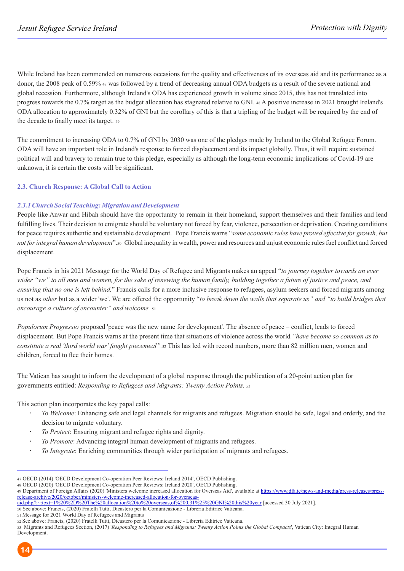While Ireland has been commended on numerous occasions for the quality and effectiveness of its overseas aid and its performance as a donor, the 2008 peak of 0.59% 47 was followed by a trend of decreasing annual ODA budgets as a result of the severe national and global recession. Furthermore, although Ireland's ODA has experienced growth in volume since 2015, this has not translated into progress towards the 0.7% target as the budget allocation has stagnated relative to GNI. 48 A positive increase in 2021 brought Ireland's ODA allocation to approximately 0.32% of GNI but the corollary of this is that a tripling of the budget will be required by the end of the decade to finally meet its target. <sup>49</sup>

The commitment to increasing ODA to 0.7% of GNI by 2030 was one of the pledges made by Ireland to the Global Refugee Forum. ODA will have an important role in Ireland's response to forced displacement and its impact globally. Thus, it will require sustained political will and bravery to remain true to this pledge, especially as although the long-term economic implications of Covid-19 are unknown, it is certain the costs will be significant.

#### **2.3. Church Response: A Global Call to Action**

#### *2.3.1 Church Social Teaching: Migration and Development*

People like Anwar and Hibah should have the opportunity to remain in their homeland, support themselves and their families and lead fulfilling lives. Their decision to emigrate should be voluntary not forced by fear, violence, persecution or deprivation. Creating conditions for peace requires authentic and sustainable development. Pope Francis warns "*some economic rules have proved effective for growth, but not for integral human development*".<sup>50</sup> Global inequality in wealth, power and resources and unjust economic rules fuel conflict and forced displacement.

Pope Francis in his 2021 Message for the World Day of Refugee and Migrants makes an appeal "*to journey together towards an ever*  wider "we" to all men and women, for the sake of renewing the human family, building together a future of justice and peace, and *ensuring that no one is left behind.*" Francis calls for a more inclusive response to refugees, asylum seekers and forced migrants among us not as *other* but as a wider 'we'. We are offered the opportunity "*to break down the walls that separate us" and "to build bridges that encourage a culture of encounter" and welcome.* <sup>51</sup>

*Populorum Progressio* proposed 'peace was the new name for development'. The absence of peace – conflict, leads to forced displacement. But Pope Francis warns at the present time that situations of violence across the world *"have become so common as to constitute a real 'third world war' fought piecemeal".*<sup>52</sup> This has led with record numbers, more than 82 million men, women and children, forced to flee their homes.

The Vatican has sought to inform the development of a global response through the publication of a 20-point action plan for governments entitled: *Responding to Refugees and Migrants: Twenty Action Points.* <sup>53</sup>

This action plan incorporates the key papal calls:

- *To Welcome*: Enhancing safe and legal channels for migrants and refugees. Migration should be safe, legal and orderly, and the decision to migrate voluntary.
- *To Protect*: Ensuring migrant and refugee rights and dignity.
- *To Promote*: Advancing integral human development of migrants and refugees.
- l, *To Integrate*: Enriching communities through wider participation of migrants and refugees.

50 See above: Francis, (2020) Fratelli Tutti, Dicastero per la Comunicazione - Libreria Editrice Vaticana.

<sup>47</sup> OECD (2014) 'OECD Development Co-operation Peer Reviews: Ireland 2014', OECD Publishing.

<sup>48</sup> OECD (2020) 'OECD Development Co-operation Peer Reviews: Ireland 2020', OECD Publishing.

<sup>49</sup> Department of Foreign Affairs (2020) 'Ministers welcome increased allocation for Overseas Aid', available at https://www.dfa.ie/news-and-media/press-releases/pressrelease-archive/2020/october/ministers-welcome-increased-allocation-for-overseas-

aid.php#:~:text=1%20%2D%20The%20allocation%20to%20overseas,of%200.31%25%20GNI%20this%20year [accessed 30 July 2021].

<sup>51</sup> Message for 2021 World Day of Refugees and Migrants 52 See above: Francis, (2020) Fratelli Tutti, Dicastero per la Comunicazione - Libreria Editrice Vaticana.

<sup>53</sup> Migrants and Refugees Section, (2017) '*Responding to Refugees and Migrants: Twenty Action Points the Global Compacts*', Vatican City: Integral Human Development.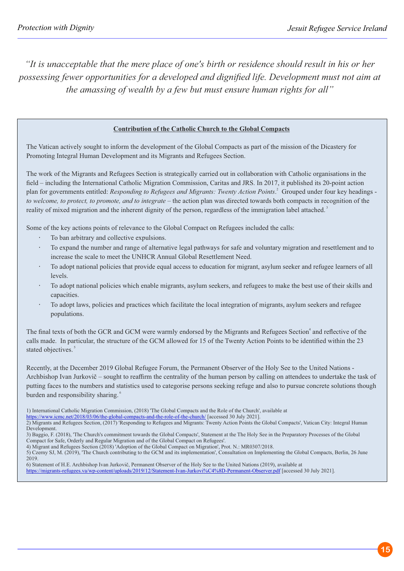*"It is unacceptable that the mere place of one's birth or residence should result in his or her possessing fewer opportunities for a developed and dignified life. Development must not aim at the amassing of wealth by a few but must ensure human rights for all"*

#### **Contribution of the Catholic Church to the Global Compacts**

The Vatican actively sought to inform the development of the Global Compacts as part of the mission of the Dicastery for Promoting Integral Human Development and its Migrants and Refugees Section.

The work of the Migrants and Refugees Section is strategically carried out in collaboration with Catholic organisations in the field – including the International Catholic Migration Commission, Caritas and JRS. In 2017, it published its 20-point action plan for governments entitled: *Responding to Refugees and Migrants: Twenty Action Points*.<sup>2</sup> Grouped under four key headings *to welcome, to protect, to promote, and to integrate* – the action plan was directed towards both compacts in recognition of the reality of mixed migration and the inherent dignity of the person, regardless of the immigration label attached.<sup>3</sup>

Some of the key actions points of relevance to the Global Compact on Refugees included the calls:

- To ban arbitrary and collective expulsions.
- To expand the number and range of alternative legal pathways for safe and voluntary migration and resettlement and to increase the scale to meet the UNHCR Annual Global Resettlement Need.
- To adopt national policies that provide equal access to education for migrant, asylum seeker and refugee learners of all levels.
- To adopt national policies which enable migrants, asylum seekers, and refugees to make the best use of their skills and capacities.
- To adopt laws, policies and practices which facilitate the local integration of migrants, asylum seekers and refugee populations.

The final texts of both the GCR and GCM were warmly endorsed by the Migrants and Refugees Section<sup>4</sup> and reflective of the calls made. In particular, the structure of the GCM allowed for 15 of the Twenty Action Points to be identified within the 23 stated objectives.<sup>5</sup>

Recently, at the December 2019 Global Refugee Forum, the Permanent Observer of the Holy See to the United Nations - Archbishop Ivan Jurkovič – sought to reaffirm the centrality of the human person by calling on attendees to undertake the task of putting faces to the numbers and statistics used to categorise persons seeking refuge and also to pursue concrete solutions though burden and responsibility sharing.<sup>6</sup>

https://www.icmc.net/2018/03/06/the-global-compacts-and-the-role-of-the-church/ [accessed 30 July 2021].

<sup>1)</sup> International Catholic Migration Commission, (2018) 'The Global Compacts and the Role of the Church', available at

<sup>2)</sup> Migrants and Refugees Section, (2017) 'Responding to Refugees and Migrants: Twenty Action Points the Global Compacts', Vatican City: Integral Human Development.

<sup>3)</sup> Baggio, F. (2018), 'The Church's commitment towards the Global Compacts', Statement at the The Holy See in the Preparatory Processes of the Global Compact for Safe, Orderly and Regular Migration and of the Global Compact on Refugees'.

<sup>4)</sup> Migrant and Refugees Section (2018) 'Adoption of the Global Compact on Migration', Prot. N.: MR0307/2018.

<sup>5)</sup> Czerny SJ, M. (2019), 'The Church contributing to the GCM and its implementation', Consultation on Implementing the Global Compacts, Berlin, 26 June 2019.

<sup>6)</sup> Statement of H.E. Archbishop Ivan Jurkovič, Permanent Observer of the Holy See to the United Nations (2019), available at https://migrants-refugees.va/wp-content/uploads/2019/12/Statement-Ivan-Jurkovi%C4%8D-Permanent-Observer.pdf [accessed 30 July 2021].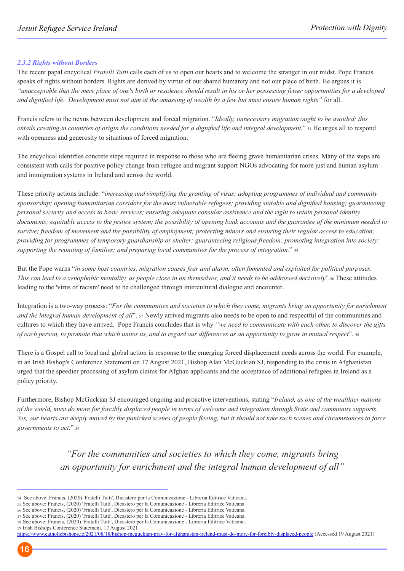#### *2.3.2 Rights without Borders*

The recent papal encyclical *Fratelli Tutti* calls each of us to open our hearts and to welcome the stranger in our midst. Pope Francis speaks of rights without borders. Rights are derived by virtue of our shared humanity and not our place of birth. He argues it is *"unacceptable that the mere place of one's birth or residence should result in his or her possessing fewer opportunities for a developed and dignified life. Development must not aim at the amassing of wealth by a few but must ensure human rights"* for all.

Francis refers to the nexus between development and forced migration. "*Ideally, unnecessary migration ought to be avoided; this entails creating in countries of origin the conditions needed for a dignified life and integral development.*" 54 He urges all to respond with openness and generosity to situations of forced migration.

The encyclical identifies concrete steps required in response to those who are fleeing grave humanitarian crises. Many of the steps are consistent with calls for positive policy change from refugee and migrant support NGOs advocating for more just and human asylum and immigration systems in Ireland and across the world.

These priority actions include: "*increasing and simplifying the granting of visas; adopting programmes of individual and community sponsorship; opening humanitarian corridors for the most vulnerable refugees; providing suitable and dignified housing; guaranteeing personal security and access to basic services; ensuring adequate consular assistance and the right to retain personal identity documents; equitable access to the justice system; the possibility of opening bank accounts and the guarantee of the minimum needed to survive; freedom of movement and the possibility of employment; protecting minors and ensuring their regular access to education; providing for programmes of temporary guardianship or shelter; guaranteeing religious freedom; promoting integration into society; supporting the reuniting of families; and preparing local communities for the process of integration.*" <sup>55</sup>

But the Pope warns "*in some host countries, migration causes fear and alarm, often fomented and exploited for political purposes. This can lead to a xenophobic mentality, as people close in on themselves, and it needs to be addressed decisively*".<sup>56</sup> These attitudes leading to the 'virus of racism' need to be challenged through intercultural dialogue and encounter.

Integration is a two-way process: "*For the communities and societies to which they come, migrants bring an opportunity for enrichment and the integral human development of all*". 57 Newly arrived migrants also needs to be open to and respectful of the communities and cultures to which they have arrived. Pope Francis concludes that is why *"we need to communicate with each other, to discover the gifts of each person, to promote that which unites us, and to regard our differences as an opportunity to grow in mutual respect*". <sup>58</sup>

There is a Gospel call to local and global action in response to the emerging forced displacement needs across the world. For example, in an Irish Bishop's Conference Statement on 17 August 2021, Bishop Alan McGuckian SJ, responding to the crisis in Afghanistan urged that the speedier processing of asylum claims for Afghan applicants and the acceptance of additional refugees in Ireland as a policy priority.

Furthermore, Bishop McGuckian SJ encouraged ongoing and proactive interventions, stating "*Ireland, as one of the wealthier nations of the world, must do more for forcibly displaced people in terms of welcome and integration through State and community supports. Yes, our hearts are deeply moved by the panicked scenes of people fleeing, but it should not take such scenes and circumstances to force governments to act.*" <sup>59</sup>

> *"For the communities and societies to which they come, migrants bring an opportunity for enrichment and the integral human development of all"*

https://www.catholicbishops.ie/2021/08/18/bishop-mcguckian-pray-for-afghanistan-ireland-must-do-more-for-forcibly-displaced-people (Accessed 19 August 2021)

<sup>54</sup> See above: Francis, (2020) 'Fratelli Tutti', Dicastero per la Comunicazione - Libreria Editrice Vaticana.

<sup>55</sup> See above: Francis, (2020) 'Fratelli Tutti', Dicastero per la Comunicazione - Libreria Editrice Vaticana.

<sup>56</sup> See above: Francis, (2020) 'Fratelli Tutti', Dicastero per la Comunicazione - Libreria Editrice Vaticana. 57 See above: Francis, (2020) 'Fratelli Tutti', Dicastero per la Comunicazione - Libreria Editrice Vaticana.

<sup>58</sup> See above: Francis, (2020) 'Fratelli Tutti', Dicastero per la Comunicazione - Libreria Editrice Vaticana.

<sup>59</sup> Irish Bishops Conference Statement, 17 August 2021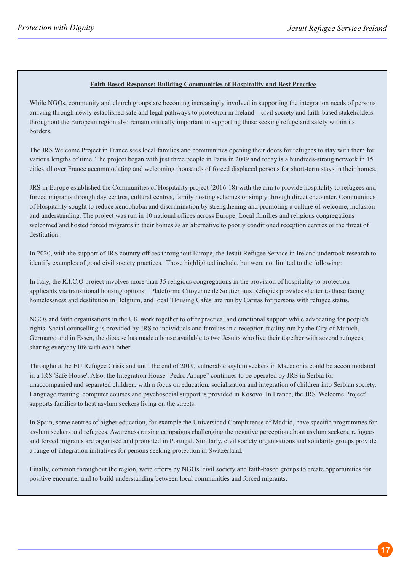#### **Faith Based Response: Building Communities of Hospitality and Best Practice**

While NGOs, community and church groups are becoming increasingly involved in supporting the integration needs of persons arriving through newly established safe and legal pathways to protection in Ireland – civil society and faith-based stakeholders throughout the European region also remain critically important in supporting those seeking refuge and safety within its borders.

The JRS Welcome Project in France sees local families and communities opening their doors for refugees to stay with them for various lengths of time. The project began with just three people in Paris in 2009 and today is a hundreds-strong network in 15 cities all over France accommodating and welcoming thousands of forced displaced persons for short-term stays in their homes.

JRS in Europe established the Communities of Hospitality project (2016-18) with the aim to provide hospitality to refugees and forced migrants through day centres, cultural centres, family hosting schemes or simply through direct encounter. Communities of Hospitality sought to reduce xenophobia and discrimination by strengthening and promoting a culture of welcome, inclusion and understanding. The project was run in 10 national offices across Europe. Local families and religious congregations welcomed and hosted forced migrants in their homes as an alternative to poorly conditioned reception centres or the threat of destitution.

In 2020, with the support of JRS country offices throughout Europe, the Jesuit Refugee Service in Ireland undertook research to identify examples of good civil society practices. Those highlighted include, but were not limited to the following:

In Italy, the R.I.C.O project involves more than 35 religious congregations in the provision of hospitality to protection applicants via transitional housing options. Plateforme Citoyenne de Soutien aux Réfugiés provides shelter to those facing homelessness and destitution in Belgium, and local 'Housing Cafés' are run by Caritas for persons with refugee status.

NGOs and faith organisations in the UK work together to offer practical and emotional support while advocating for people's rights. Social counselling is provided by JRS to individuals and families in a reception facility run by the City of Munich, Germany; and in Essen, the diocese has made a house available to two Jesuits who live their together with several refugees, sharing everyday life with each other.

Throughout the EU Refugee Crisis and until the end of 2019, vulnerable asylum seekers in Macedonia could be accommodated in a JRS 'Safe House'. Also, the Integration House "Pedro Arrupe" continues to be operated by JRS in Serbia for unaccompanied and separated children, with a focus on education, socialization and integration of children into Serbian society. Language training, computer courses and psychosocial support is provided in Kosovo. In France, the JRS 'Welcome Project' supports families to host asylum seekers living on the streets.

In Spain, some centres of higher education, for example the Universidad Complutense of Madrid, have specific programmes for asylum seekers and refugees. Awareness raising campaigns challenging the negative perception about asylum seekers, refugees and forced migrants are organised and promoted in Portugal. Similarly, civil society organisations and solidarity groups provide a range of integration initiatives for persons seeking protection in Switzerland.

Finally, common throughout the region, were efforts by NGOs, civil society and faith-based groups to create opportunities for positive encounter and to build understanding between local communities and forced migrants.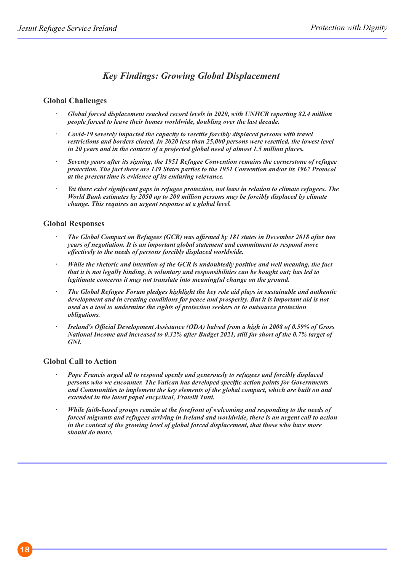## *Key Findings: Growing Global Displacement*

#### **Global Challenges**

- *Global forced displacement reached record levels in 2020, with UNHCR reporting 82.4 million people forced to leave their homes worldwide, doubling over the last decade.*
- *Covid-19 severely impacted the capacity to resettle forcibly displaced persons with travel restrictions and borders closed. In 2020 less than 25,000 persons were resettled, the lowest level in 20 years and in the context of a projected global need of almost 1.5 million places.*
- *Seventy years after its signing, the 1951 Refugee Convention remains the cornerstone of refugee protection. The fact there are 149 States parties to the 1951 Convention and/or its 1967 Protocol at the present time is evidence of its enduring relevance.*
- *Yet there exist significant gaps in refugee protection, not least in relation to climate refugees. The World Bank estimates by 2050 up to 200 million persons may be forcibly displaced by climate change. This requires an urgent response at a global level.*

#### **Global Responses**

- *The Global Compact on Refugees (GCR) was affirmed by 181 states in December 2018 after two years of negotiation. It is an important global statement and commitment to respond more effectively to the needs of persons forcibly displaced worldwide.*
- *While the rhetoric and intention of the GCR is undoubtedly positive and well meaning, the fact that it is not legally binding, is voluntary and responsibilities can be bought out; has led to legitimate concerns it may not translate into meaningful change on the ground.*
- *The Global Refugee Forum pledges highlight the key role aid plays in sustainable and authentic development and in creating conditions for peace and prosperity. But it is important aid is not used as a tool to undermine the rights of protection seekers or to outsource protection obligations.*
- *Ireland's Official Development Assistance (ODA) halved from a high in 2008 of 0.59% of Gross National Income and increased to 0.32% after Budget 2021, still far short of the 0.7% target of GNI.*

### **Global Call to Action**

- *Pope Francis urged all to respond openly and generously to refugees and forcibly displaced persons who we encounter. The Vatican has developed specific action points for Governments and Communities to implement the key elements of the global compact, which are built on and extended in the latest papal encyclical, Fratelli Tutti.*
- *While faith-based groups remain at the forefront of welcoming and responding to the needs of forced migrants and refugees arriving in Ireland and worldwide, there is an urgent call to action in the context of the growing level of global forced displacement, that those who have more should do more.*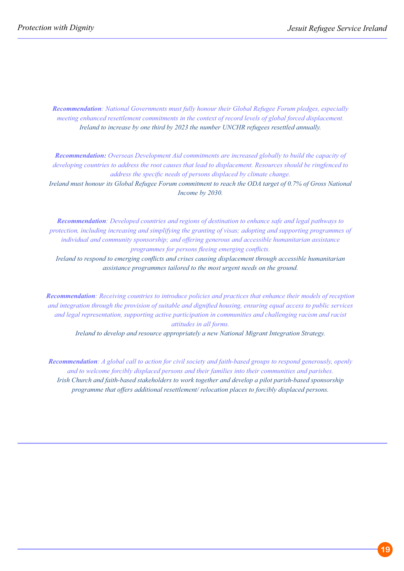*Recommendation: National Governments must fully honour their Global Refugee Forum pledges, especially meeting enhanced resettlement commitments in the context of record levels of global forced displacement. Ireland to increase by one third by 2023 the number UNCHR refugees resettled annually.*

*Recommendation: Overseas Development Aid commitments are increased globally to build the capacity of developing countries to address the root causes that lead to displacement. Resources should be ringfenced to address the specific needs of persons displaced by climate change.*

*Ireland must honour its Global Refugee Forum commitment to reach the ODA target of 0.7% of Gross National Income by 2030.* 

*Recommendation: Developed countries and regions of destination to enhance safe and legal pathways to protection, including increasing and simplifying the granting of visas; adopting and supporting programmes of individual and community sponsorship; and offering generous and accessible humanitarian assistance programmes for persons fleeing emerging conflicts.*

*Ireland to respond to emerging conflicts and crises causing displacement through accessible humanitarian assistance programmes tailored to the most urgent needs on the ground.*

*Recommendation: Receiving countries to introduce policies and practices that enhance their models of reception and integration through the provision of suitable and dignified housing, ensuring equal access to public services and legal representation, supporting active participation in communities and challenging racism and racist attitudes in all forms.*

*Ireland to develop and resource appropriately a new National Migrant Integration Strategy.*

*Recommendation: A global call to action for civil society and faith-based groups to respond generously, openly and to welcome forcibly displaced persons and their families into their communities and parishes. Irish Church and faith-based stakeholders to work together and develop a pilot parish-based sponsorship programme that offers additional resettlement/ relocation places to forcibly displaced persons.*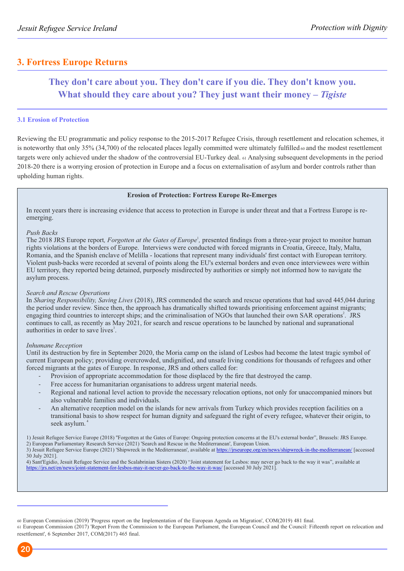## **3. Fortress Europe Returns**

## **They don't care about you. They don't care if you die. They don't know you. What should they care about you? They just want their money –** *Tigiste*

### **3.1 Erosion of Protection**

Reviewing the EU programmatic and policy response to the 2015-2017 Refugee Crisis, through resettlement and relocation schemes, it is noteworthy that only 35% (34,700) of the relocated places legally committed were ultimately fulfilled  $\omega$  and the modest resettlement targets were only achieved under the shadow of the controversial EU-Turkey deal. <sup>61</sup> Analysing subsequent developments in the period 2018-20 there is a worrying erosion of protection in Europe and a focus on externalisation of asylum and border controls rather than upholding human rights.

### **Erosion of Protection: Fortress Europe Re-Emerges**

In recent years there is increasing evidence that access to protection in Europe is under threat and that a Fortress Europe is reemerging.

#### *Push Backs*

The 2018 JRS Europe report, *Forgotten at the Gates of Europe*<sup>1</sup>, presented findings from a three-year project to monitor human rights violations at the borders of Europe. Interviews were conducted with forced migrants in Croatia, Greece, Italy, Malta, Romania, and the Spanish enclave of Melilla - locations that represent many individuals' first contact with European territory. Violent push-backs were recorded at several of points along the EU's external borders and even once interviewees were within EU territory, they reported being detained, purposely misdirected by authorities or simply not informed how to navigate the asylum process.

#### *Search and Rescue Operations*

In *Sharing Responsibility, Saving Lives* (2018), JRS commended the search and rescue operations that had saved 445,044 during the period under review. Since then, the approach has dramatically shifted towards prioritising enforcement against migrants; engaging third countries to intercept ships; and the criminalisation of NGOs that launched their own SAR operations<sup>2</sup>. JRS continues to call, as recently as May 2021, for search and rescue operations to be launched by national and supranational authorities in order to save lives<sup>3</sup>.

#### *Inhumane Reception*

Until its destruction by fire in September 2020, the Moria camp on the island of Lesbos had become the latest tragic symbol of current European policy; providing overcrowded, undignified, and unsafe living conditions for thousands of refugees and other forced migrants at the gates of Europe. In response, JRS and others called for:

- Provision of appropriate accommodation for those displaced by the fire that destroyed the camp.
- Free access for humanitarian organisations to address urgent material needs.
- Regional and national level action to provide the necessary relocation options, not only for unaccompanied minors but also vulnerable families and individuals.
- An alternative reception model on the islands for new arrivals from Turkey which provides reception facilities on a transitional basis to show respect for human dignity and safeguard the right of every refugee, whatever their origin, to seek asylum.<sup>4</sup>

60 European Commission (2019) 'Progress report on the Implementation of the European Agenda on Migration', COM(2019) 481 final.

<sup>61</sup> European Commission (2017) 'Report From the Commission to the European Parliament, the European Council and the Council: Fifteenth report on relocation and resettlement', 6 September 2017, COM(2017) 465 final.



<sup>1)</sup> Jesuit Refugee Service Europe (2018) ''Forgotten at the Gates of Europe: Ongoing protection concerns at the EU's external border", Brussels: JRS Europe. 2) European Parliamentary Research Service (2021) 'Search and Rescue in the Mediterranean', European Union.

<sup>3)</sup> Jesuit Refugee Service Europe (2021) 'Shipwreck in the Mediterranean', available at https://jrseurope.org/en/news/shipwreck-in-the-mediterranean/ [accessed] 30 July 2021].

<sup>4)</sup> Sant'Egidio, Jesuit Refugee Service and the Scalabrinian Sisters (2020) "Joint statement for Lesbos: may never go back to the way it was", available at https://jrs.net/en/news/joint-statement-for-lesbos-may-it-never-go-back-to-the-way-it-was/ [accessed 30 July 2021].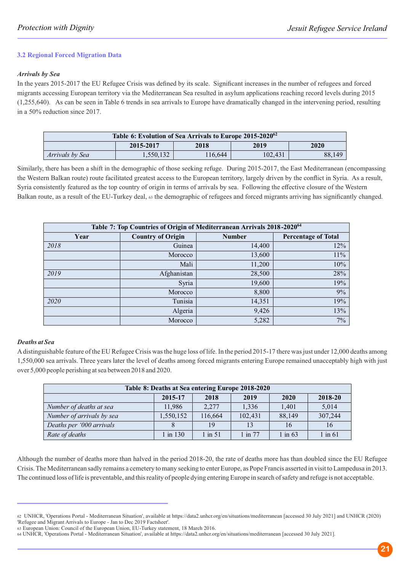#### **3.2 Regional Forced Migration Data**

#### *Arrivals by Sea*

In the years 2015-2017 the EU Refugee Crisis was defined by its scale. Significant increases in the number of refugees and forced migrants accessing European territory via the Mediterranean Sea resulted in asylum applications reaching record levels during 2015 (1,255,640). As can be seen in Table 6 trends in sea arrivals to Europe have dramatically changed in the intervening period, resulting in a 50% reduction since 2017.

| Table 6: Evolution of Sea Arrivals to Europe 2015-2020 <sup>62</sup> |                                   |         |         |        |  |
|----------------------------------------------------------------------|-----------------------------------|---------|---------|--------|--|
|                                                                      | 2015-2017<br>2018<br>2019<br>2020 |         |         |        |  |
| <i>Arrivals by Sea</i>                                               | 1.550.132                         | 116.644 | 102.431 | 88.149 |  |

Similarly, there has been a shift in the demographic of those seeking refuge. During 2015-2017, the East Mediterranean (encompassing the Western Balkan route) route facilitated greatest access to the European territory, largely driven by the conflict in Syria. As a result, Syria consistently featured as the top country of origin in terms of arrivals by sea. Following the effective closure of the Western Balkan route, as a result of the EU-Turkey deal,  $\omega$  the demographic of refugees and forced migrants arriving has significantly changed.

| Table 7: Top Countries of Origin of Mediterranean Arrivals 2018-2020 <sup>64</sup> |                          |               |                            |  |  |
|------------------------------------------------------------------------------------|--------------------------|---------------|----------------------------|--|--|
| Year                                                                               | <b>Country of Origin</b> | <b>Number</b> | <b>Percentage of Total</b> |  |  |
| 2018                                                                               | Guinea                   | 14,400        | 12%                        |  |  |
|                                                                                    | Morocco                  | 13,600        | 11%                        |  |  |
|                                                                                    | Mali                     | 11,200        | 10%                        |  |  |
| 2019                                                                               | Afghanistan              | 28,500        | 28%                        |  |  |
|                                                                                    | Syria                    | 19,600        | 19%                        |  |  |
|                                                                                    | Morocco                  | 8,800         | 9%                         |  |  |
| 2020                                                                               | Tunisia                  | 14,351        | 19%                        |  |  |
|                                                                                    | Algeria                  | 9,426         | 13%                        |  |  |
|                                                                                    | Morocco                  | 5,282         | $7\%$                      |  |  |

#### *Deaths at Sea*

Adistinguishable feature of the EU Refugee Crisis was the huge loss of life. In the period 2015-17 there was just under 12,000 deaths among 1,550,000 sea arrivals. Three years later the level of deaths among forced migrants entering Europe remained unacceptably high with just over 5,000 people perishing at sea between 2018 and 2020.

| Table 8: Deaths at Sea entering Europe 2018-2020 |                                            |           |             |           |             |  |  |  |  |
|--------------------------------------------------|--------------------------------------------|-----------|-------------|-----------|-------------|--|--|--|--|
|                                                  | 2015-17<br>2018-20<br>2018<br>2019<br>2020 |           |             |           |             |  |  |  |  |
| Number of deaths at sea                          | 11.986                                     | 2,277     | 1,336       | 1,401     | 5,014       |  |  |  |  |
| Number of arrivals by sea                        | 1,550,152                                  | 116,664   | 102,431     | 88,149    | 307,244     |  |  |  |  |
| Deaths per '000 arrivals                         |                                            | 19        | 13          | 16        | 16          |  |  |  |  |
| Rate of deaths                                   | 1 in 130                                   | $1$ in 51 | $1$ in $77$ | $1$ in 63 | $1$ in $61$ |  |  |  |  |

Although the number of deaths more than halved in the period 2018-20, the rate of deaths more has than doubled since the EU Refugee Crisis. The Mediterranean sadly remains a cemetery to many seeking to enter Europe, as Pope Francis asserted in visit to Lampedusa in 2013. The continued loss of life is preventable, and this reality of people dying entering Europe in search of safety and refuge is not acceptable.

<sup>62</sup> UNHCR, 'Operations Portal - Mediterranean Situation', available at https://data2.unhcr.org/en/situations/mediterranean [accessed 30 July 2021] and UNHCR (2020) 'Refugee and Migrant Arrivals to Europe - Jan to Dec 2019 Factsheet'.

<sup>63</sup> European Union: Council of the European Union, EU-Turkey statement, 18 March 2016.

<sup>64</sup> UNHCR, 'Operations Portal - Mediterranean Situation', available at https://data2.unhcr.org/en/situations/mediterranean [accessed 30 July 2021].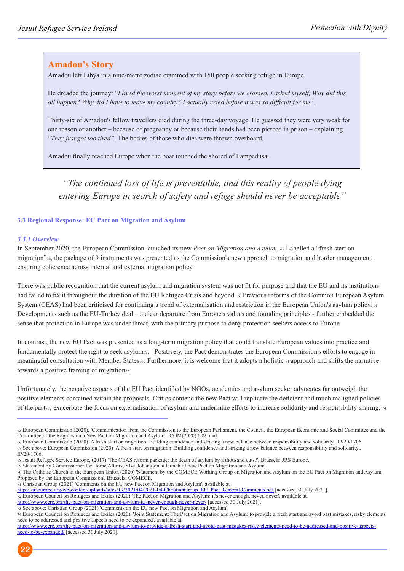## **Amadou's Story**

Amadou left Libya in a nine-metre zodiac crammed with 150 people seeking refuge in Europe.

He dreaded the journey: "*I lived the worst moment of my story before we crossed. I asked myself, Why did this all happen? Why did I have to leave my country? I actually cried before it was so difficult for me*".

Thirty-six of Amadou's fellow travellers died during the three-day voyage. He guessed they were very weak for one reason or another – because of pregnancy or because their hands had been pierced in prison – explaining "*They just got too tired".* The bodies of those who dies were thrown overboard.

Amadou finally reached Europe when the boat touched the shored of Lampedusa.

*"The continued loss of life is preventable, and this reality of people dying entering Europe in search of safety and refuge should never be acceptable"*

#### **3.3 Regional Response: EU Pact on Migration and Asylum**

#### *3.3.1 Overview*

In September 2020, the European Commission launched its new *Pact on Migration and Asylum*. 65 Labelled a "fresh start on migration"66, the package of 9 instruments was presented as the Commission's new approach to migration and border management, ensuring coherence across internal and external migration policy.

There was public recognition that the current asylum and migration system was not fit for purpose and that the EU and its institutions had failed to fix it throughout the duration of the EU Refugee Crisis and beyond. 67 Previous reforms of the Common European Asylum System (CEAS) had been criticised for continuing a trend of externalisation and restriction in the European Union's asylum policy.  $\alpha$ Developments such as the EU-Turkey deal – a clear departure from Europe's values and founding principles - further embedded the sense that protection in Europe was under threat, with the primary purpose to deny protection seekers access to Europe.

In contrast, the new EU Pact was presented as a long-term migration policy that could translate European values into practice and fundamentally protect the right to seek asylum<sub>69</sub>. Positively, the Pact demonstrates the European Commission's efforts to engage in meaningful consultation with Member States70. Furthermore, it is welcome that it adopts a holistic 71 approach and shifts the narrative towards a positive framing of migration<sub>72</sub>.

Unfortunately, the negative aspects of the EU Pact identified by NGOs, academics and asylum seeker advocates far outweigh the positive elements contained within the proposals. Critics contend the new Pact will replicate the deficient and much maligned policies of the past<sub>73</sub>, exacerbate the focus on externalisation of asylum and undermine efforts to increase solidarity and responsibility sharing. 74

69 Statement by Commissioner for Home Affairs, Ylva Johansson at launch of new Pact on Migration and Asylum.

https://www.ecre.org/the-pact-on-migration-and-asylum-its-never-enough-never-never/ [accessed 30 July 2021].

<sup>65</sup> European Commission (2020), 'Communication from the Commission to the European Parliament, the Council, the European Economic and Social Committee and the Committee of the Regions on a New Pact on Migration and Asylum', COM(2020) 609 final.

<sup>66</sup> European Commission (2020) 'A fresh start on migration: Building confidence and striking a new balance between responsibility and solidarity', IP/20/1706. 67 See above: European Commission (2020) 'A fresh start on migration: Building confidence and striking a new balance between responsibility and solidarity',

IP/20/1706.

<sup>68</sup> Jesuit Refugee Service Europe, (2017) 'The CEAS reform package: the death of asylum by a thousand cuts?', Brussels: JRS Europe.

<sup>70</sup> The Catholic Church in the European Union (2020) 'Statement by the COMECE Working Group on Migration and Asylum on the EU Pact on Migration and Asylum Proposed by the European Commission', Brussels: COMECE.

<sup>71</sup> Christian Group (2021) 'Comments on the EU new Pact on Migration and Asylum', available at

https://jrseurope.org/wp-content/uploads/sites/19/2021/04/2021-04-ChristianGroup\_EU\_Pact\_General-Comments.pdf [accessed 30 July 2021].

<sup>72</sup> European Council on Refugees and Exiles (2020) 'The Pact on Migration and Asylum: it's never enough, never, never', available at

<sup>73</sup> See above: Christian Group (2021) 'Comments on the EU new Pact on Migration and Asylum'.

<sup>74</sup> European Council on Refugees and Exiles (2020), 'Joint Statement: The Pact on Migration and Asylum: to provide a fresh start and avoid past mistakes, risky elements need to be addressed and positive aspects need to be expanded', available at

https://www.ecre.org/the-pact-on-migration-and-asylum-to-provide-a-fresh-start-and-avoid-past-mistakes-risky-elements-need-to-be-addressed-and-positive-aspectsneed-to-be-expanded/ [accessed 30July 2021].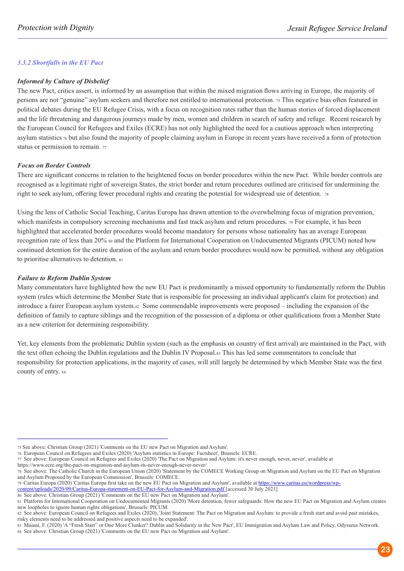#### *3.3.2 Shortfalls in the EU Pact*

#### *Informed by Culture of Disbelief*

The new Pact, critics assert, is informed by an assumption that within the mixed migration flows arriving in Europe, the majority of persons are not "genuine" asylum seekers and therefore not entitled to international protection. <sup>75</sup> This negative bias often featured in political debates during the EU Refugee Crisis, with a focus on recognition rates rather than the human stories of forced displacement and the life threatening and dangerous journeys made by men, women and children in search of safety and refuge. Recent research by the European Council for Refugees and Exiles (ECRE) has not only highlighted the need for a cautious approach when interpreting asylum statistics 76 but also found the majority of people claiming asylum in Europe in recent years have received a form of protection status or permission to remain. <sup>77</sup>

#### *Focus on Border Controls*

There are significant concerns in relation to the heightened focus on border procedures within the new Pact. While border controls are recognised as a legitimate right of sovereign States, the strict border and return procedures outlined are criticised for undermining the right to seek asylum, offering fewer procedural rights and creating the potential for widespread use of detention. <sup>78</sup>

Using the lens of Catholic Social Teaching, Caritas Europa has drawn attention to the overwhelming focus of migration prevention, which manifests in compulsory screening mechanisms and fast track asylum and return procedures. 79 For example, it has been highlighted that accelerated border procedures would become mandatory for persons whose nationality has an average European recognition rate of less than 20% 80 and the Platform for International Cooperation on Undocumented Migrants (PICUM) noted how continued detention for the entire duration of the asylum and return border procedures would now be permitted, without any obligation to prioritise alternatives to detention. <sup>81</sup>

#### *Failure to Reform Dublin System*

Many commentators have highlighted how the new EU Pact is predominantly a missed opportunity to fundamentally reform the Dublin system (rules which determine the Member State that is responsible for processing an individual applicant's claim for protection) and introduce a fairer European asylum system.82 Some commendable improvements were proposed – including the expansion of the definition of family to capture siblings and the recognition of the possession of a diploma or other qualifications from a Member State as a new criterion for determining responsibility.

Yet, key elements from the problematic Dublin system (such as the emphasis on country of first arrival) are maintained in the Pact, with the text often echoing the Dublin regulations and the Dublin IV Proposal.83 This has led some commentators to conclude that responsibility for protection applications, in the majority of cases, will still largely be determined by which Member State was the first county of entry. 84

https://www.ecre.org/the-pact-on-migration-and-asylum-its-never-enough-never-never/

content/uploads/2020/09/Caritas-Europa-statement-on-EU-Pact-for-Asylum-and-Migration.pdf [accessed 30 July 2021] 80 See above: Christian Group (2021) 'Comments on the EU new Pact on Migration and Asylum'.

<sup>75</sup> See above: Christian Group (2021) 'Comments on the EU new Pact on Migration and Asylum'.

<sup>76</sup> European Council on Refugees and Exiles (2020) 'Asylum statistics in Europe: Factsheet', Brussels: ECRE.

<sup>77</sup> See above: European Council on Refugees and Exiles (2020) 'The Pact on Migration and Asylum: it's never enough, never, never', available at

<sup>78</sup> See above: The Catholic Church in the European Union (2020) 'Statement by the COMECE Working Group on Migration and Asylum on the EU Pact on Migration and Asylum Proposed by the European Commission', Brussels: COMECE.

<sup>79</sup> Caritas Europa (2020) 'Caritas Europa first take on the new EU Pact on Migration and Asylum', available at https://www.caritas.eu/wordpress/wp-

<sup>81</sup> Platform for International Cooperation on Undocumented Migrants (2020) More detention, fewer safeguards: How the new EU Pact on Migration and Asylum creates new loopholes to ignore human rights obligations', Brussels: PICUM.

<sup>82</sup> See above: European Council on Refugees and Exiles (2020), 'Joint Statement: The Pact on Migration and Asylum: to provide a fresh start and avoid past mistakes, risky elements need to be addressed and positive aspects need to be expanded'.

<sup>83</sup> Maiani, F. (2020) 'A "Fresh Start" or One More Clunker? Dublin and Solidarity in the New Pact', EU Immigration and Asylum Law and Policy, Odysseus Network. 84 See above: Christian Group (2021) 'Comments on the EU new Pact on Migration and Asylum'.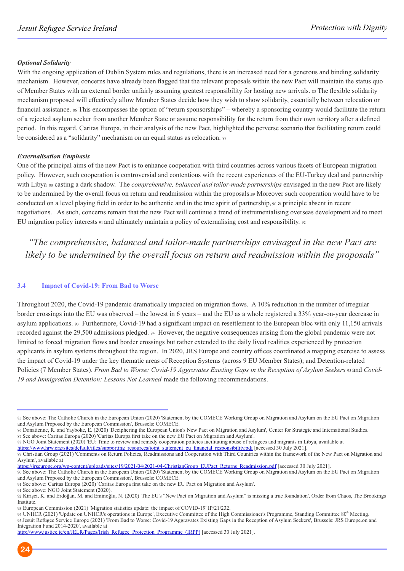#### *Optional Solidarity*

With the ongoing application of Dublin System rules and regulations, there is an increased need for a generous and binding solidarity mechanism. However, concerns have already been flagged that the relevant proposals within the new Pact will maintain the status quo of Member States with an external border unfairly assuming greatest responsibility for hosting new arrivals. <sup>85</sup> The flexible solidarity mechanism proposed will effectively allow Member States decide how they wish to show solidarity, essentially between relocation or financial assistance. 86 This encompasses the option of "return sponsorships" – whereby a sponsoring country would facilitate the return of a rejected asylum seeker from another Member State or assume responsibility for the return from their own territory after a defined period. In this regard, Caritas Europa, in their analysis of the new Pact, highlighted the perverse scenario that facilitating return could be considered as a "solidarity" mechanism on an equal status as relocation. <sup>87</sup>

#### *Externalisation Emphasis*

One of the principal aims of the new Pact is to enhance cooperation with third countries across various facets of European migration policy. However, such cooperation is controversial and contentious with the recent experiences of the EU-Turkey deal and partnership with Libya 88 casting a dark shadow. The *comprehensive, balanced and tailor-made partnerships* envisaged in the new Pact are likely to be undermined by the overall focus on return and readmission within the proposals.89 Moreover such cooperation would have to be conducted on a level playing field in order to be authentic and in the true spirit of partnership, 90 a principle absent in recent negotiations. As such, concerns remain that the new Pact will continue a trend of instrumentalising overseas development aid to meet EU migration policy interests  $91$  and ultimately maintain a policy of externalising cost and responsibility.  $92$ 

*"The comprehensive, balanced and tailor-made partnerships envisaged in the new Pact are likely to be undermined by the overall focus on return and readmission within the proposals"*

#### **3.4 Impact of Covid-19: From Bad to Worse**

Throughout 2020, the Covid-19 pandemic dramatically impacted on migration flows. A 10% reduction in the number of irregular border crossings into the EU was observed – the lowest in 6 years – and the EU as a whole registered a 33% year-on-year decrease in asylum applications. 93 Furthermore, Covid-19 had a significant impact on resettlement to the European bloc with only 11,150 arrivals recorded against the 29,500 admissions pledged. 94 However, the negative consequences arising from the global pandemic were not limited to forced migration flows and border crossings but rather extended to the daily lived realities experienced by protection applicants in asylum systems throughout the region. In 2020, JRS Europe and country offices coordinated a mapping exercise to assess the impact of Covid-19 under the key thematic areas of Reception Systems (across 9 EU Member States); and Detention-related Policies (7 Member States). *From Bad to Worse: Covid-19 Aggravates Existing Gaps in the Reception of Asylum Seekers 95* and *Covid-19 and Immigration Detention: Lessons Not Learned* made the following recommendations.

86 Donatienne, R. and Yayboke, E. (2020) 'Deciphering the European Union's New Pact on Migration and Asylum', Center for Strategic and International Studies. 87 See above: Caritas Europa (2020) 'Caritas Europa first take on the new EU Pact on Migration and Asylum'.

88 NGO Joint Statement (2020) 'EU: Time to review and remedy cooperation policies facilitating abuse of refugees and migrants in Libya, available at

https://www.hrw.org/sites/default/files/supporting\_resources/joint\_statement\_eu\_financial\_responsibility.pdf [accessed 30 July 2021].

https://jrseurope.org/wp-content/uploads/sites/19/2021/04/2021-04-ChristianGroup\_EUPact\_Returns\_Readmission.pdf [accessed 30 July 2021].

90 See above: The Catholic Church in the European Union (2020) 'Statement by the COMECE Working Group on Migration and Asylum on the EU Pact on Migration and Asylum Proposed by the European Commission', Brussels: COMECE.

<sup>85</sup> See above: The Catholic Church in the European Union (2020) 'Statement by the COMECE Working Group on Migration and Asylum on the EU Pact on Migration and Asylum Proposed by the European Commission', Brussels: COMECE.

<sup>89</sup> Christian Group (2021) 'Comments on Return Policies, Readmissions and Cooperation with Third Countries within the framework of the New Pact on Migration and Asylum', available at

<sup>91</sup> See above: Caritas Europa (2020) 'Caritas Europa first take on the new EU Pact on Migration and Asylum'.

<sup>91</sup> See above: NGO Joint Statement (2020).

<sup>92</sup> Kirişci, K. and Erdoğan, M. and Eminoğlu, N. (2020) 'The EU's "New Pact on Migration and Asylum" is missing a true foundation', Order from Chaos, The Brookings Institute.

<sup>93</sup> European Commission (2021) 'Migration statistics update: the impact of COVID-19' IP/21/232.

<sup>94</sup> UNHCR (2021) 'Update on UNHCR's operations in Europe', Executive Committee of the High Commissioner's Programme, Standing Committee 80<sup>th</sup> Meeting. 95 Jesuit Refugee Service Europe (2021) 'From Bad to Worse: Covid-19 Aggravates Existing Gaps in the Reception of Asylum Seekers', Brussels: JRS Europe.on and Integration Fund 2014-2020', available at

http://www.justice.ie/en/JELR/Pages/Irish\_Refugee\_Protection\_Programme\_(IRPP) [accessed 30 July 2021].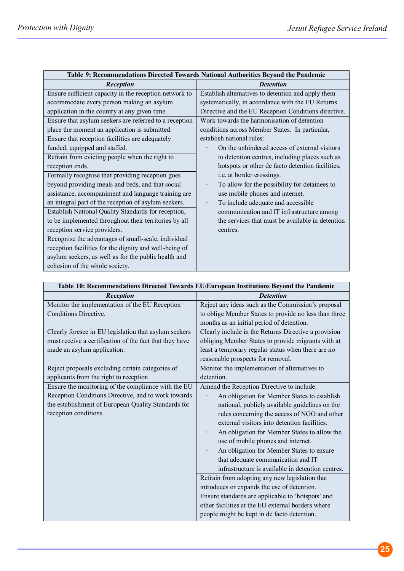|                                                        | Table 9: Recommendations Directed Towards National Authorities Beyond the Pandemic |
|--------------------------------------------------------|------------------------------------------------------------------------------------|
| Reception                                              | <b>Detention</b>                                                                   |
| Ensure sufficient capacity in the reception network to | Establish alternatives to detention and apply them                                 |
| accommodate every person making an asylum              | systematically, in accordance with the EU Returns                                  |
| application in the country at any given time.          | Directive and the EU Reception Conditions directive.                               |
| Ensure that asylum seekers are referred to a reception | Work towards the harmonisation of detention                                        |
| place the moment an application is submitted.          | conditions across Member States. In particular,                                    |
| Ensure that reception facilities are adequately        | establish national rules:                                                          |
| funded, equipped and staffed.                          | On the unhindered access of external visitors                                      |
| Refrain from evicting people when the right to         | to detention centres, including places such as                                     |
| reception ends.                                        | hotspots or other de facto detention facilities,                                   |
| Formally recognise that providing reception goes       | i.e. at border crossings.                                                          |
| beyond providing meals and beds, and that social       | To allow for the possibility for detainees to                                      |
| assistance, accompaniment and language training are    | use mobile phones and internet.                                                    |
| an integral part of the reception of asylum seekers.   | To include adequate and accessible                                                 |
| Establish National Quality Standards for reception,    | communication and IT infrastructure among                                          |
| to be implemented throughout their territories by all  | the services that must be available in detention                                   |
| reception service providers.                           | centres.                                                                           |
| Recognise the advantages of small-scale, individual    |                                                                                    |
| reception facilities for the dignity and well-being of |                                                                                    |
| asylum seekers, as well as for the public health and   |                                                                                    |
| cohesion of the whole society.                         |                                                                                    |

|                                                         | Table 10: Recommendations Directed Towards EU/European Institutions Beyond the Pandemic |
|---------------------------------------------------------|-----------------------------------------------------------------------------------------|
| Reception                                               | <b>Detention</b>                                                                        |
| Monitor the implementation of the EU Reception          | Reject any ideas such as the Commission's proposal                                      |
| Conditions Directive.                                   | to oblige Member States to provide no less than three                                   |
|                                                         | months as an initial period of detention.                                               |
| Clearly foresee in EU legislation that asylum seekers   | Clearly include in the Returns Directive a provision                                    |
| must receive a certification of the fact that they have | obliging Member States to provide migrants with at                                      |
| made an asylum application.                             | least a temporary regular status when there are no                                      |
|                                                         | reasonable prospects for removal.                                                       |
| Reject proposals excluding certain categories of        | Monitor the implementation of alternatives to                                           |
| applicants from the right to reception                  | detention.                                                                              |
| Ensure the monitoring of the compliance with the EU     | Amend the Reception Directive to include:                                               |
| Reception Conditions Directive, and to work towards     | An obligation for Member States to establish                                            |
| the establishment of European Quality Standards for     | national, publicly available guidelines on the                                          |
| reception conditions                                    | rules concerning the access of NGO and other                                            |
|                                                         | external visitors into detention facilities.                                            |
|                                                         | An obligation for Member States to allow the                                            |
|                                                         | use of mobile phones and internet.                                                      |
|                                                         | An obligation for Member States to ensure                                               |
|                                                         | that adequate communication and IT                                                      |
|                                                         | infrastructure is available in detention centres.                                       |
|                                                         | Refrain from adopting any new legislation that                                          |
|                                                         | introduces or expands the use of detention.                                             |
|                                                         | Ensure standards are applicable to 'hotspots' and                                       |
|                                                         | other facilities at the EU external borders where                                       |
|                                                         | people might be kept in de facto detention.                                             |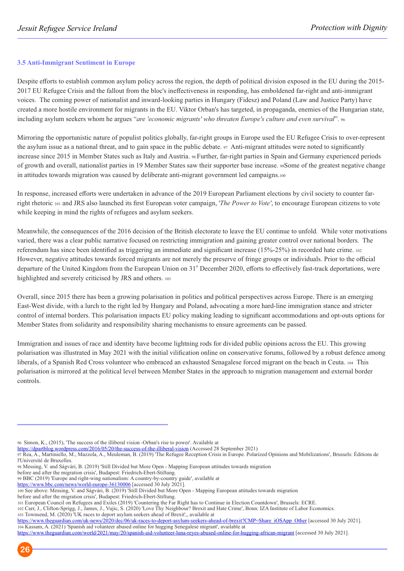#### **3.5 Anti-Immigrant Sentiment in Europe**

Despite efforts to establish common asylum policy across the region, the depth of political division exposed in the EU during the 2015- 2017 EU Refugee Crisis and the fallout from the bloc's ineffectiveness in responding, has emboldened far-right and anti-immigrant voices. The coming power of nationalist and inward-looking parties in Hungary (Fidesz) and Poland (Law and Justice Party) have created a more hostile environment for migrants in the EU. Viktor Orban's has targeted, in propaganda, enemies of the Hungarian state, including asylum seekers whom he argues "*are 'economic migrants' who threaten Europe's culture and even survival*". <sup>96</sup>

Mirroring the opportunistic nature of populist politics globally, far-right groups in Europe used the EU Refugee Crisis to over-represent the asylum issue as a national threat, and to gain space in the public debate.  $97$  Anti-migrant attitudes were noted to significantly increase since 2015 in Member States such as Italy and Austria. 98 Further, far-right parties in Spain and Germany experienced periods of growth and overall, nationalist parties in 19 Member States saw their supporter base increase. 99Some of the greatest negative change in attitudes towards migration was caused by deliberate anti-migrant government led campaigns.<sup>100</sup>

In response, increased efforts were undertaken in advance of the 2019 European Parliament elections by civil society to counter farright rhetoric 101 and JRS also launched its first European voter campaign, '*The Power to Vote'*, to encourage European citizens to vote while keeping in mind the rights of refugees and asylum seekers.

Meanwhile, the consequences of the 2016 decision of the British electorate to leave the EU continue to unfold. While voter motivations varied, there was a clear public narrative focused on restricting immigration and gaining greater control over national borders. The referendum has since been identified as triggering an immediate and significant increase (15%-25%) in recorded hate crime. <sup>102</sup> However, negative attitudes towards forced migrants are not merely the preserve of fringe groups or individuals. Prior to the official departure of the United Kingdom from the European Union on 31<sup>st</sup> December 2020, efforts to effectively fast-track deportations, were highlighted and severely criticised by JRS and others. <sup>103</sup>

Overall, since 2015 there has been a growing polarisation in politics and political perspectives across Europe. There is an emerging East-West divide, with a lurch to the right led by Hungary and Poland, advocating a more hard-line immigration stance and stricter control of internal borders. This polarisation impacts EU policy making leading to significant accommodations and opt-outs options for Member States from solidarity and responsibility sharing mechanisms to ensure agreements can be passed.

Immigration and issues of race and identity have become lightning rods for divided public opinions across the EU. This growing polarisation was illustrated in May 2021 with the initial vilification online on conservative forums, followed by a robust defence among liberals, of a Spanish Red Cross volunteer who embraced an exhausted Senagalese forced migrant on the beach in Ceuta. 104 This polarisation is mirrored at the political level between Member States in the approach to migration management and external border controls.

https://www.bbc.com/news/world-europe-36130006 [accessed 30 July 2021].

before and after the migration crisis', Budapest: Friedrich-Ebert-Stiftung.

103 Townsend, M. (2020) 'UK races to deport asylum seekers ahead of Brexit',, available at

<sup>96</sup> Simon, K., (2015), 'The success of the illiberal vision -Orban's rise to power'. Available at

https://dpartblog.wordpress.com/2016/05/20/the-success-of-the-illiberal-vision (Accessed 28 September 2021)

<sup>97</sup> Rea, A., Martiniello, M., Mazzola, A., Meuleman, B. (2019) 'The Refugee Reception Crisis in Europe. Polarized Opinions and Mobilizations', Brussels: Éditions de l'Université de Bruxelles.

<sup>98</sup> Messing, V. and Ságvári, B. (2019) 'Still Divided but More Open - Mapping European attitudes towards migration

before and after the migration crisis', Budapest: Friedrich-Ebert-Stiftung.

<sup>99</sup> BBC (2019) 'Europe and right-wing nationalism: A country-by-country guide', available at

<sup>100</sup> See above: Messing, V. and Ságvári, B. (2019) 'Still Divided but More Open - Mapping European attitudes towards migration

<sup>101</sup> European Council on Refugees and Exiles (2019) 'Countering the Far Right has to Continue in Election Countdown', Brussels: ECRE. 102 Carr, J., Clifton-Sprigg, J., James, J., Vujic, S. (2020) 'Love Thy Neighbour? Brexit and Hate Crime', Bonn: IZA Institute of Labor Economics.

https://www.theguardian.com/uk-news/2020/dec/06/uk-races-to-deport-asylum-seekers-ahead-of-brexit?CMP=Share\_iOSApp\_Other [accessed 30 July 2021]. 104 Kassam, A. (2021) 'Spanish aid volunteer abused online for hugging Senegalese migrant', available at

https://www.theguardian.com/world/2021/may/20/spanish-aid-volunteer-luna-reyes-abused-online-for-hugging-african-migrant [accessed 30 July 2021].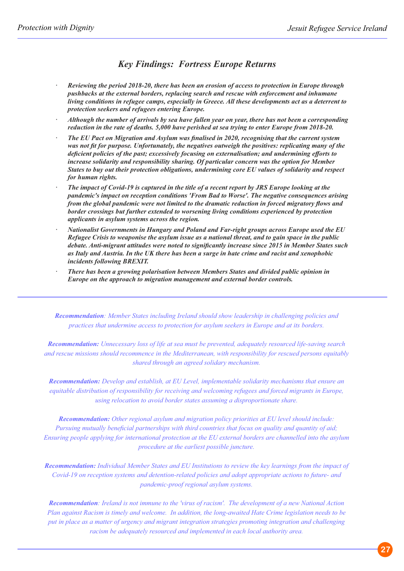## *Key Findings: Fortress Europe Returns*

- *Reviewing the period 2018-20, there has been an erosion of access to protection in Europe through pushbacks at the external borders, replacing search and rescue with enforcement and inhumane living conditions in refugee camps, especially in Greece. All these developments act as a deterrent to protection seekers and refugees entering Europe.*
- *Although the number of arrivals by sea have fallen year on year, there has not been a corresponding reduction in the rate of deaths. 5,000 have perished at sea trying to enter Europe from 2018-20.*
- *The EU Pact on Migration and Asylum was finalised in 2020, recognising that the current system was not fit for purpose. Unfortunately, the negatives outweigh the positives: replicating many of the deficient policies of the past; excessively focusing on externalisation; and undermining efforts to increase solidarity and responsibility sharing. Of particular concern was the option for Member States to buy out their protection obligations, undermining core EU values of solidarity and respect for human rights.*
- *The impact of Covid-19 is captured in the title of a recent report by JRS Europe looking at the pandemic's impact on reception conditions 'From Bad to Worse'. The negative consequences arising from the global pandemic were not limited to the dramatic reduction in forced migratory flows and border crossings but further extended to worsening living conditions experienced by protection applicants in asylum systems across the region.*
- *Nationalist Governments in Hungary and Poland and Far-right groups across Europe used the EU Refugee Crisis to weaponise the asylum issue as a national threat, and to gain space in the public debate. Anti-migrant attitudes were noted to significantly increase since 2015 in Member States such as Italy and Austria. In the UK there has been a surge in hate crime and racist and xenophobic incidents following BREXIT.*
- *There has been a growing polarisation between Members States and divided public opinion in Europe on the approach to migration management and external border controls.*

*Recommendation: Member States including Ireland should show leadership in challenging policies and practices that undermine access to protection for asylum seekers in Europe and at its borders.* 

*Recommendation: Unnecessary loss of life at sea must be prevented, adequately resourced life-saving search and rescue missions should recommence in the Mediterranean, with responsibility for rescued persons equitably shared through an agreed solidary mechanism.*

*Recommendation: Develop and establish, at EU Level, implementable solidarity mechanisms that ensure an equitable distribution of responsibility for receiving and welcoming refugees and forced migrants in Europe, using relocation to avoid border states assuming a disproportionate share.*

*Recommendation: Other regional asylum and migration policy priorities at EU level should include: Pursuing mutually beneficial partnerships with third countries that focus on quality and quantity of aid; Ensuring people applying for international protection at the EU external borders are channelled into the asylum procedure at the earliest possible juncture.*

*Recommendation: Individual Member States and EU Institutions to review the key learnings from the impact of Covid-19 on reception systems and detention-related policies and adopt appropriate actions to future- and pandemic-proof regional asylum systems.*

*Recommendation: Ireland is not immune to the 'virus of racism'. The development of a new National Action Plan against Racism is timely and welcome. In addition, the long-awaited Hate Crime legislation needs to be put in place as a matter of urgency and migrant integration strategies promoting integration and challenging racism be adequately resourced and implemented in each local authority area.*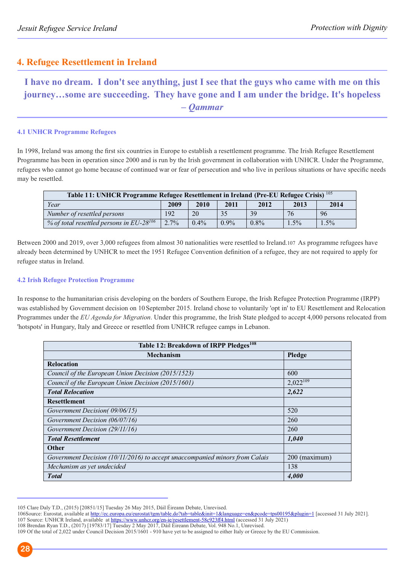## **4. Refugee Resettlement in Ireland**

**I have no dream. I don't see anything, just I see that the guys who came with me on this journey…some are succeeding. They have gone and I am under the bridge. It's hopeless**  *– Qammar*

#### **4.1 UNHCR Programme Refugees**

In 1998, Ireland was among the first six countries in Europe to establish a resettlement programme. The Irish Refugee Resettlement Programme has been in operation since 2000 and is run by the Irish government in collaboration with UNHCR. Under the Programme, refugees who cannot go home because of continued war or fear of persecution and who live in perilous situations or have specific needs may be resettled.

| Table 11: UNHCR Programme Refugee Resettlement in Ireland (Pre-EU Refugee Crisis) <sup>105</sup> |         |         |         |         |         |         |
|--------------------------------------------------------------------------------------------------|---------|---------|---------|---------|---------|---------|
| Year<br>2010<br>2009<br>2011<br>2012<br>2013<br>2014                                             |         |         |         |         |         |         |
| Number of resettled persons                                                                      | 192     | 20      | 35      | 39      | 76      | 96      |
| % of total resettled persons in $EU-28^{106}$                                                    | $2.7\%$ | $0.4\%$ | $0.9\%$ | $0.8\%$ | $1.5\%$ | $1.5\%$ |

Between 2000 and 2019, over 3,000 refugees from almost 30 nationalities were resettled to Ireland.107 As programme refugees have already been determined by UNHCR to meet the 1951 Refugee Convention definition of a refugee, they are not required to apply for refugee status in Ireland.

#### **4.2 Irish Refugee Protection Programme**

In response to the humanitarian crisis developing on the borders of Southern Europe, the Irish Refugee Protection Programme (IRPP) was established by Government decision on 10September 2015. Ireland chose to voluntarily 'opt in' to EU Resettlement and Relocation Programmes under the *EU Agenda for Migration*. Under this programme, the Irish State pledged to accept 4,000 persons relocated from 'hotspots' in Hungary, Italy and Greece or resettled from UNHCR refugee camps in Lebanon.

| Table 12: Breakdown of IRPP Pledges <sup>108</sup>                          |               |  |  |  |
|-----------------------------------------------------------------------------|---------------|--|--|--|
| <b>Mechanism</b>                                                            | Pledge        |  |  |  |
| <b>Relocation</b>                                                           |               |  |  |  |
| Council of the European Union Decision (2015/1523)                          | 600           |  |  |  |
| Council of the European Union Decision (2015/1601)                          | $2,022^{109}$ |  |  |  |
| <b>Total Relocation</b>                                                     | 2,622         |  |  |  |
| <b>Resettlement</b>                                                         |               |  |  |  |
| Government Decision(09/06/15)                                               | 520           |  |  |  |
| Government Decision (06/07/16)                                              | 260           |  |  |  |
| Government Decision (29/11/16)                                              | 260           |  |  |  |
| <b>Total Resettlement</b>                                                   | 1,040         |  |  |  |
| <b>Other</b>                                                                |               |  |  |  |
| Government Decision (10/11/2016) to accept unaccompanied minors from Calais | 200 (maximum) |  |  |  |
| Mechanism as yet undecided                                                  | 138           |  |  |  |
| <b>Total</b>                                                                | 4,000         |  |  |  |

<sup>105</sup> Clare Daly T.D., (2015) [20851/15] Tuesday 26 May 2015, Dáil Éireann Debate, Unrevised.

<sup>106</sup>Source: Eurostat, available at http://ec.europa.eu/eurostat/tgm/table.do?tab=table&init=1&language=en&pcode=tps00195&plugin=1 [accessed 31 July 2021]. 107 Source: UNHCR Ireland, available at https://www.unhcr.org/en-ie/resettlement-58c923ff4.html (accessed 31 July 2021)

<sup>108</sup> Brendan Ryan T.D., (2017) [19783/17] Tuesday 2 May 2017, Dáil Éireann Debate, Vol. 948 No.1, Unrevised.

<sup>109</sup> Of the total of 2,022 under Council Decision 2015/1601 - 910 have yet to be assigned to either Italy or Greece by the EU Commission.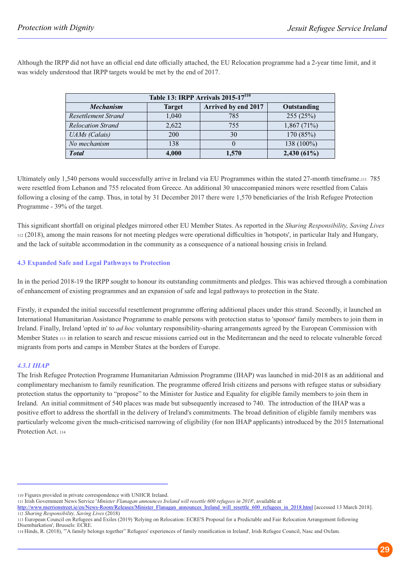Although the IRPP did not have an official end date officially attached, the EU Relocation programme had a 2-year time limit, and it was widely understood that IRPP targets would be met by the end of 2017.

| Table 13: IRPP Arrivals 2015-17 <sup>110</sup> |               |                     |               |  |
|------------------------------------------------|---------------|---------------------|---------------|--|
| <b>Mechanism</b>                               | <b>Target</b> | Arrived by end 2017 | Outstanding   |  |
| Resettlement Strand                            | 1,040         | 785                 | 255(25%)      |  |
| <b>Relocation Strand</b>                       | 2,622         | 755                 | 1,867(71%)    |  |
| <b>UAMs</b> (Calais)                           | 200           | 30                  | 170 (85%)     |  |
| No mechanism                                   | 138           |                     | 138 (100%)    |  |
| <b>Total</b>                                   | 4,000         | 1,570               | $2,430(61\%)$ |  |

Ultimately only 1,540 persons would successfully arrive in Ireland via EU Programmes within the stated 27-month timeframe.111 785 were resettled from Lebanon and 755 relocated from Greece. An additional 30 unaccompanied minors were resettled from Calais following a closing of the camp. Thus, in total by 31 December 2017 there were 1,570 beneficiaries of the Irish Refugee Protection Programme - 39% of the target.

This significant shortfall on original pledges mirrored other EU Member States. As reported in the *Sharing Responsibility, Saving Lives* <sup>112</sup> (2018), among the main reasons for not meeting pledges were operational difficulties in 'hotspots', in particular Italy and Hungary, and the lack of suitable accommodation in the community as a consequence of a national housing crisis in Ireland.

#### **4.3 Expanded Safe and Legal Pathways to Protection**

In in the period 2018-19 the IRPP sought to honour its outstanding commitments and pledges. This was achieved through a combination of enhancement of existing programmes and an expansion of safe and legal pathways to protection in the State.

Firstly, it expanded the initial successful resettlement programme offering additional places under this strand. Secondly, it launched an International Humanitarian Assistance Programme to enable persons with protection status to 'sponsor' family members to join them in Ireland. Finally, Ireland 'opted in' to *ad hoc* voluntary responsibility-sharing arrangements agreed by the European Commission with Member States 113 in relation to search and rescue missions carried out in the Mediterranean and the need to relocate vulnerable forced migrants from ports and camps in Member States at the borders of Europe.

#### *4.3.1 IHAP*

The Irish Refugee Protection Programme Humanitarian Admission Programme (IHAP) was launched in mid-2018 as an additional and complimentary mechanism to family reunification. The programme offered Irish citizens and persons with refugee status or subsidiary protection status the opportunity to "propose" to the Minister for Justice and Equality for eligible family members to join them in Ireland. An initial commitment of 540 places was made but subsequently increased to 740. The introduction of the IHAP was a positive effort to address the shortfall in the delivery of Ireland's commitments. The broad definition of eligible family members was particularly welcome given the much-criticised narrowing of eligibility (for non IHAP applicants) introduced by the 2015 International Protection Act. 114

- http://www.merrionstreet.ie/en/News-Room/Releases/Minister\_Flanagan\_announces\_Ireland\_will\_resettle\_600\_refugees\_in\_2018.html [accessed 13 March 2018].
- 112 *Sharing Responsibility, Saving Lives* (2018)

<sup>110</sup> Figures provided in private correspondence with UNHCR Ireland.

<sup>111</sup> Irish Government News Service '*Minister Flanagan announces Ireland will resettle 600 refugees in 2018*', available at

<sup>113</sup> European Council on Refugees and Exiles (2019) 'Relying on Relocation: ECRE'S Proposal for a Predictable and Fair Relocation Arrangement following Disembarkation', Brussels: ECRE.

<sup>114</sup> Hinds, R. (2018), '"A family belongs together" Refugees' experiences of family reunification in Ireland', Irish Refugee Council, Nasc and Oxfam.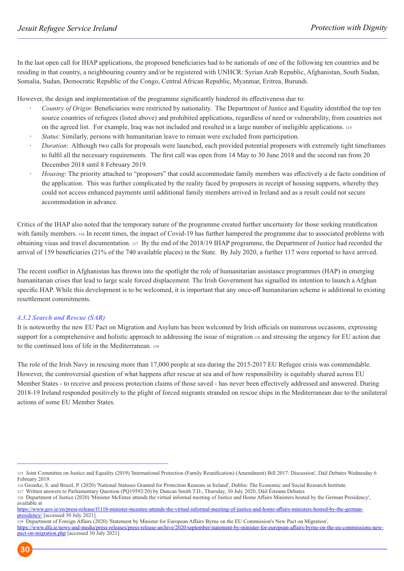In the last open call for IHAP applications, the proposed beneficiaries had to be nationals of one of the following ten countries and be residing in that country, a neighbouring country and/or be registered with UNHCR: Syrian Arab Republic, Afghanistan, South Sudan, Somalia, Sudan, Democratic Republic of the Congo, Central African Republic, Myanmar, Eritrea, Burundi.

However, the design and implementation of the programme significantly hindered its effectiveness due to:

- *Country of Origin*: Beneficiaries were restricted by nationality. The Department of Justice and Equality identified the top ten source countries of refugees (listed above) and prohibited applications, regardless of need or vulnerability, from countries not on the agreed list. For example, Iraq was not included and resulted in a large number of ineligible applications. <sup>115</sup>
- *Status*: Similarly, persons with humanitarian leave to remain were excluded from participation.
- *Duration*: Although two calls for proposals were launched, each provided potential proposers with extremely tight timeframes to fulfil all the necessary requirements. The first call was open from 14 May to 30 June 2018 and the second ran from 20 December 2018 until 8 February 2019.
- *Housing*: The priority attached to "proposers" that could accommodate family members was effectively a de facto condition of the application. This was further complicated by the reality faced by proposers in receipt of housing supports, whereby they could not access enhanced payments until additional family members arrived in Ireland and as a result could not secure accommodation in advance.

Critics of the IHAP also noted that the temporary nature of the programme created further uncertainty for those seeking reunification with family members. 116 In recent times, the impact of Covid-19 has further hampered the programme due to associated problems with obtaining visas and travel documentation. 117 By the end of the 2018/19 IHAP programme, the Department of Justice had recorded the arrival of 159 beneficiaries (21% of the 740 available places) in the State. By July 2020, a further 117 were reported to have arrived.

The recent conflict in Afghanistan has thrown into the spotlight the role of humanitarian assistance programmes (HAP) in emerging humanitarian crises that lead to large scale forced displacement. The Irish Government has signalled its intention to launch a Afghan specific HAP. While this development is to be welcomed, it is important that any once-off humanitarian scheme is additional to existing resettlement commitments.

#### *4.3.2 Search and Rescue (SAR)*

It is noteworthy the new EU Pact on Migration and Asylum has been welcomed by Irish officials on numerous occasions, expressing support for a comprehensive and holistic approach to addressing the issue of migration 118 and stressing the urgency for EU action due to the continued loss of life in the Mediterranean. <sup>119</sup>

The role of the Irish Navy in rescuing more than 17,000 people at sea during the 2015-2017 EU Refugee crisis was commendable. However, the controversial question of what happens after rescue at sea and of how responsibility is equitably shared across EU Member States - to receive and process protection claims of those saved - has never been effectively addressed and answered. During 2018-19 Ireland responded positively to the plight of forced migrants stranded on rescue ships in the Mediterranean due to the unilateral actions of some EU Member States.

<sup>115</sup> Joint Committee on Justice and Equality (2019) 'International Protection (Family Reunification) (Amendment) Bill 2017: Discussion', Dáil Debates Wednesday 6 February 2019.

<sup>116</sup> Groarke, S. and Brazil, P. (2020) 'National Statuses Granted for Protection Reasons in Ireland', Dublin: The Economic and Social Research Institute.

<sup>117</sup> Written answers to Parliamentary Question (PQ19592/20) by Duncan Smith T.D., Thursday, 30 July 2020, Dáil Éireann Debates

<sup>118</sup> Department of Justice (2020) 'Minister McEntee attends the virtual informal meeting of Justice and Home Affairs Ministers hosted by the German Presidency', available at

https://www.gov.ie/en/press-release/f111b-minister-mcentee-attends-the-virtual-informal-meeting-of-justice-and-home-affairs-ministers-hosted-by-the-germanpresidency/ [accessed 30 July 2021].

<sup>119</sup> Department of Foreign Affairs (2020) 'Statement by Minister for European Affairs Byrne on the EU Commission's New Pact on Migration',

https://www.dfa.ie/news-and-media/press-releases/press-release-archive/2020/september/statement-by-minister-for-european-affairs-byrne-on-the-eu-commissions-newpact-on-migration.php [accessed 30 July 2021].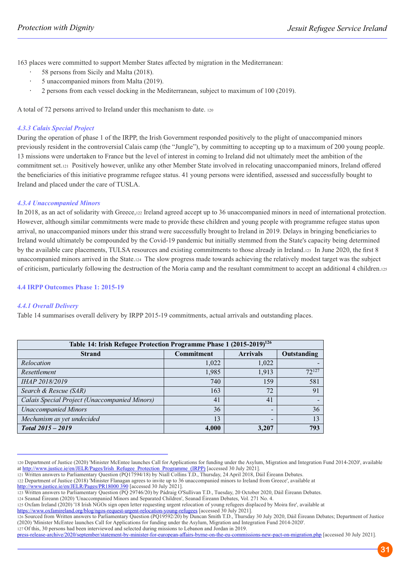163 places were committed to support Member States affected by migration in the Mediterranean:

- 58 persons from Sicily and Malta (2018).
- 5 unaccompanied minors from Malta (2019).
- 2 persons from each vessel docking in the Mediterranean, subject to maximum of 100 (2019).

A total of 72 persons arrived to Ireland under this mechanism to date. <sup>120</sup>

#### *4.3.3 Calais Special Project*

During the operation of phase 1 of the IRPP, the Irish Government responded positively to the plight of unaccompanied minors previously resident in the controversial Calais camp (the "Jungle"), by committing to accepting up to a maximum of 200 young people. 13 missions were undertaken to France but the level of interest in coming to Ireland did not ultimately meet the ambition of the commitment set.121 Positively however, unlike any other Member State involved in relocating unaccompanied minors, Ireland offered the beneficiaries of this initiative programme refugee status. 41 young persons were identified, assessed and successfully bought to Ireland and placed under the care of TUSLA.

#### *4.3.4 Unaccompanied Minors*

In 2018, as an act of solidarity with Greece,122 Ireland agreed accept up to 36 unaccompanied minors in need of international protection. However, although similar commitments were made to provide these children and young people with programme refugee status upon arrival, no unaccompanied minors under this strand were successfully brought to Ireland in 2019. Delays in bringing beneficiaries to Ireland would ultimately be compounded by the Covid-19 pandemic but initially stemmed from the State's capacity being determined by the available care placements, TULSA resources and existing commitments to those already in Ireland.123 In June 2020, the first 8 unaccompanied minors arrived in the State.124 The slow progress made towards achieving the relatively modest target was the subject of criticism, particularly following the destruction of the Moria camp and the resultant commitment to accept an additional 4 children.<sup>125</sup>

#### **4.4 IRPP Outcomes Phase 1: 2015-19**

#### *4.4.1 Overall Delivery*

Table 14 summarises overall delivery by IRPP 2015-19 commitments, actual arrivals and outstanding places.

| Table 14: Irish Refugee Protection Programme Phase 1 (2015-2019) <sup>126</sup> |            |                          |             |  |
|---------------------------------------------------------------------------------|------------|--------------------------|-------------|--|
| <b>Strand</b>                                                                   | Commitment | <b>Arrivals</b>          | Outstanding |  |
| Relocation                                                                      | 1,022      | 1,022                    |             |  |
| Resettlement                                                                    | 1,985      | 1,913                    | $72^{127}$  |  |
| IHAP 2018/2019                                                                  | 740        | 159                      | 581         |  |
| Search & Rescue (SAR)                                                           | 163        | 72                       | 91          |  |
| Calais Special Project (Unaccompanied Minors)                                   | 41         | 41                       |             |  |
| <b>Unaccompanied Minors</b>                                                     | 36         | -                        | 36          |  |
| Mechanism as yet undecided                                                      | 13         | $\overline{\phantom{0}}$ | 13          |  |
| Total 2015 - 2019                                                               | 4,000      | 3,207                    | 793         |  |

<sup>120</sup> Department of Justice (2020) 'Minister McEntee launches Call for Applications for funding under the Asylum, Migration and Integration Fund 2014-2020', available at http://www.justice.ie/en/JELR/Pages/Irish\_Refugee\_Protection\_Programme\_(IRPP) [accessed 30 July 2021].

121 Written answers to Parliamentary Question (PQ17594/18) by Niall Collins T.D., Thursday, 24 April 2018, Dáil Éireann Debates.

https://www.oxfamireland.org/blog/ngos-request-urgent-relocation-young-refugees [accessed 30 July 2021].

126 Sourced from Written answers to Parliamentary Question (PQ19592/20) by Duncan Smith T.D., Thursday 30 July 2020, Dáil Éireann Debates; Department of Justice (2020) 'Minister McEntee launches Call for Applications for funding under the Asylum, Migration and Integration Fund 2014-2020'.

127 Of this, 30 persons had been interviewed and selected during missions to Lebanon and Jordan in 2019.

<sup>122</sup> Department of Justice (2018) 'Minister Flanagan agrees to invite up to 36 unaccompanied minors to Ireland from Greece', available at http://www.justice.ie/en/JELR/Pages/PR18000 390 [accessed 30 July 2021].

<sup>123</sup> Written answers to Parliamentary Question (PQ 29746/20) by Pádraig O'Sullivan T.D., Tuesday, 20 October 2020, Dáil Éireann Debates.

<sup>124</sup> Seanad Éireann (2020) 'Unaccompanied Minors and Separated Children', Seanad Éireann Debates, Vol. 271 No. 4.

<sup>125</sup> Oxfam Ireland (2020) '18 Irish NGOs sign open letter requesting urgent relocation of young refugees displaced by Moira fire', available at

press-release-archive/2020/september/statement-by-minister-for-european-affairs-byrne-on-the-eu-commissions-new-pact-on-migration.php [accessed 30 July 2021].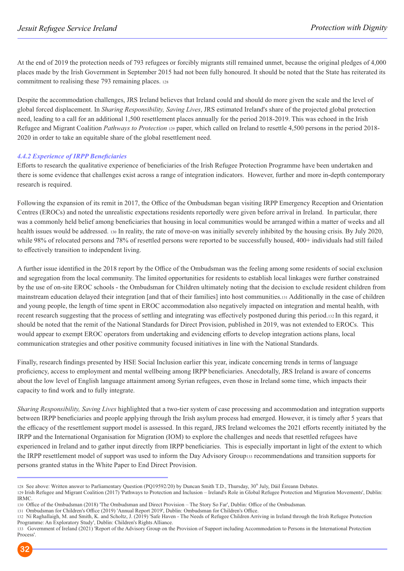At the end of 2019 the protection needs of 793 refugees or forcibly migrants still remained unmet, because the original pledges of 4,000 places made by the Irish Government in September 2015 had not been fully honoured. It should be noted that the State has reiterated its commitment to realising these 793 remaining places. <sup>128</sup>

Despite the accommodation challenges, JRS Ireland believes that Ireland could and should do more given the scale and the level of global forced displacement. In *Sharing Responsibility, Saving Lives*, JRS estimated Ireland's share of the projected global protection need, leading to a call for an additional 1,500 resettlement places annually for the period 2018-2019. This was echoed in the Irish Refugee and Migrant Coalition *Pathways to Protection* <sup>129</sup> paper, which called on Ireland to resettle 4,500 persons in the period 2018- 2020 in order to take an equitable share of the global resettlement need.

#### *4.4.2 Experience of IRPP Beneficiaries*

Efforts to research the qualitative experience of beneficiaries of the Irish Refugee Protection Programme have been undertaken and there is some evidence that challenges exist across a range of integration indicators. However, further and more in-depth contemporary research is required.

Following the expansion of its remit in 2017, the Office of the Ombudsman began visiting IRPP Emergency Reception and Orientation Centres (EROCs) and noted the unrealistic expectations residents reportedly were given before arrival in Ireland. In particular, there was a commonly held belief among beneficiaries that housing in local communities would be arranged within a matter of weeks and all health issues would be addressed. 130 In reality, the rate of move-on was initially severely inhibited by the housing crisis. By July 2020, while 98% of relocated persons and 78% of resettled persons were reported to be successfully housed, 400+ individuals had still failed to effectively transition to independent living.

A further issue identified in the 2018 report by the Office of the Ombudsman was the feeling among some residents of social exclusion and segregation from the local community. The limited opportunities for residents to establish local linkages were further constrained by the use of on-site EROC schools - the Ombudsman for Children ultimately noting that the decision to exclude resident children from mainstream education delayed their integration [and that of their families] into host communities.<sup>131</sup> Additionally in the case of children and young people, the length of time spent in EROC accommodation also negatively impacted on integration and mental health, with recent research suggesting that the process of settling and integrating was effectively postponed during this period.132 In this regard, it should be noted that the remit of the National Standards for Direct Provision, published in 2019, was not extended to EROCs. This would appear to exempt EROC operators from undertaking and evidencing efforts to develop integration actions plans, local communication strategies and other positive community focused initiatives in line with the National Standards.

Finally, research findings presented by HSE Social Inclusion earlier this year, indicate concerning trends in terms of language proficiency, access to employment and mental wellbeing among IRPP beneficiaries. Anecdotally, JRS Ireland is aware of concerns about the low level of English language attainment among Syrian refugees, even those in Ireland some time, which impacts their capacity to find work and to fully integrate.

*Sharing Responsibility, Saving Lives* highlighted that a two-tier system of case processing and accommodation and integration supports between IRPP beneficiaries and people applying through the Irish asylum process had emerged. However, it is timely after 5 years that the efficacy of the resettlement support model is assessed. In this regard, JRS Ireland welcomes the 2021 efforts recently initiated by the IRPP and the International Organisation for Migration (IOM) to explore the challenges and needs that resettled refugees have experienced in Ireland and to gather input directly from IRPP beneficiaries. This is especially important in light of the extent to which the IRPP resettlement model of support was used to inform the Day Advisory Group133 recommendations and transition supports for persons granted status in the White Paper to End Direct Provision.

<sup>133</sup> Government of Ireland (2021) 'Report of the Advisory Group on the Provision of Support including Accommodation to Persons in the International Protection Process'.



<sup>128</sup> See above: Written answer to Parliamentary Question (PQ19592/20) by Duncan Smith T.D., Thursday, 30<sup>th</sup> July, Dáil Éireann Debates.

<sup>129</sup> Irish Refugee and Migrant Coalition (2017) 'Pathways to Protection and Inclusion – Ireland's Role in Global Refugee Protection and Migration Movements', Dublin: IRMC.

<sup>130</sup> Office of the Ombudsman (2018) 'The Ombudsman and Direct Provision – The Story So Far', Dublin: Office of the Ombudsman.

<sup>131</sup> Ombudsman for Children's Office (2019) 'Annual Report 2019', Dublin: Ombudsman for Children's Office.

<sup>132</sup> Ní Raghallaigh, M. and Smith, K. and Scholtz, J. (2019) 'Safe Haven - The Needs of Refugee Children Arriving in Ireland through the Irish Refugee Protection Programme: An Exploratory Study', Dublin: Children's Rights Alliance.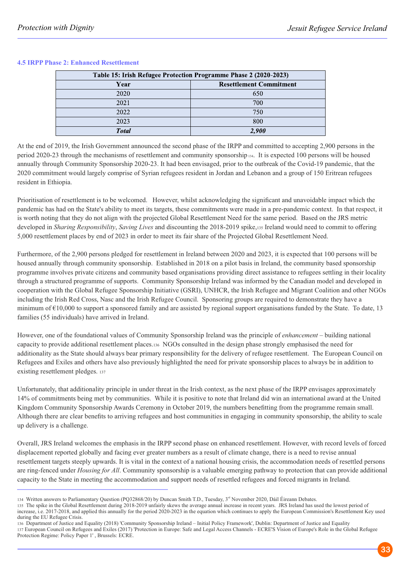| Table 15: Irish Refugee Protection Programme Phase 2 (2020-2023) |                                |  |
|------------------------------------------------------------------|--------------------------------|--|
| Year                                                             | <b>Resettlement Commitment</b> |  |
| 2020                                                             | 650                            |  |
| 2021                                                             | 700                            |  |
| 2022                                                             | 750                            |  |
| 2023                                                             | 800                            |  |
| <b>Total</b>                                                     | 2.900                          |  |

#### **4.5 IRPP Phase 2: Enhanced Resettlement**

At the end of 2019, the Irish Government announced the second phase of the IRPP and committed to accepting 2,900 persons in the period 2020-23 through the mechanisms of resettlement and community sponsorship 134. It is expected 100 persons will be housed annually through Community Sponsorship 2020-23. It had been envisaged, prior to the outbreak of the Covid-19 pandemic, that the 2020 commitment would largely comprise of Syrian refugees resident in Jordan and Lebanon and a group of 150 Eritrean refugees resident in Ethiopia.

Prioritisation of resettlement is to be welcomed. However, whilst acknowledging the significant and unavoidable impact which the pandemic has had on the State's ability to meet its targets, these commitments were made in a pre-pandemic context. In that respect, it is worth noting that they do not align with the projected Global Resettlement Need for the same period. Based on the JRS metric developed in *Sharing Responsibility*, *Saving Lives* and discounting the 2018-2019 spike,135 Ireland would need to commit to offering 5,000 resettlement places by end of 2023 in order to meet its fair share of the Projected Global Resettlement Need.

Furthermore, of the 2,900 persons pledged for resettlement in Ireland between 2020 and 2023, it is expected that 100 persons will be housed annually through community sponsorship. Established in 2018 on a pilot basis in Ireland, the community based sponsorship programme involves private citizens and community based organisations providing direct assistance to refugees settling in their locality through a structured programme of supports. Community Sponsorship Ireland was informed by the Canadian model and developed in cooperation with the Global Refugee Sponsorship Initiative (GSRI), UNHCR, the Irish Refugee and Migrant Coalition and other NGOs including the Irish Red Cross, Nasc and the Irish Refugee Council. Sponsoring groups are required to demonstrate they have a minimum of  $\epsilon$ 10,000 to support a sponsored family and are assisted by regional support organisations funded by the State. To date, 13 families (55 individuals) have arrived in Ireland.

However, one of the foundational values of Community Sponsorship Ireland was the principle of *enhancement* – building national capacity to provide additional resettlement places.136 NGOs consulted in the design phase strongly emphasised the need for additionality as the State should always bear primary responsibility for the delivery of refugee resettlement. The European Council on Refugees and Exiles and others have also previously highlighted the need for private sponsorship places to always be in addition to existing resettlement pledges. <sup>137</sup>

Unfortunately, that additionality principle in under threat in the Irish context, as the next phase of the IRPP envisages approximately 14% of commitments being met by communities. While it is positive to note that Ireland did win an international award at the United Kingdom Community Sponsorship Awards Ceremony in October 2019, the numbers benefitting from the programme remain small. Although there are clear benefits to arriving refugees and host communities in engaging in community sponsorship, the ability to scale up delivery is a challenge.

Overall, JRS Ireland welcomes the emphasis in the IRPP second phase on enhanced resettlement. However, with record levels of forced displacement reported globally and facing ever greater numbers as a result of climate change, there is a need to revise annual resettlement targets steeply upwards. It is vital in the context of a national housing crisis, the accommodation needs of resettled persons are ring-fenced under *Housing for All*. Community sponsorship is a valuable emerging pathway to protection that can provide additional capacity to the State in meeting the accommodation and support needs of resettled refugees and forced migrants in Ireland.

<sup>134</sup> Written answers to Parliamentary Question (PQ32868/20) by Duncan Smith T.D., Tuesday, 3<sup>rd</sup> November 2020, Dáil Éireann Debates.

<sup>135</sup> The spike in the Global Resettlement during 2018-2019 unfairly skews the average annual increase in recent years. JRS Ireland has used the lowest period of increase, i.e. 2017-2018, and applied this annually for the period 2020-2023 in the equation which continues to apply the European Commission's Resettlement Key used during the EU Refugee Crisis.

<sup>136</sup> Department of Justice and Equality (2018) 'Community Sponsorship Ireland – Initial Policy Framework', Dublin: Department of Justice and Equality 137 European Council on Refugees and Exiles (2017) 'Protection in Europe: Safe and Legal Access Channels - ECRE'S Vision of Europe's Role in the Global Refugee

Protection Regime: Policy Paper 1' , Brussels: ECRE.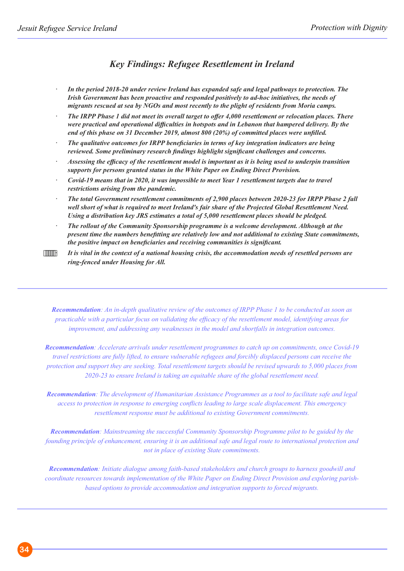## *Key Findings: Refugee Resettlement in Ireland*

- *In the period 2018-20 under review Ireland has expanded safe and legal pathways to protection. The Irish Government has been proactive and responded positively to ad-hoc initiatives, the needs of migrants rescued at sea by NGOs and most recently to the plight of residents from Moria camps.*
- *The IRPP Phase 1 did not meet its overall target to offer 4,000 resettlement or relocation places. There were practical and operational difficulties in hotspots and in Lebanon that hampered delivery. By the end of this phase on 31 December 2019, almost 800 (20%) of committed places were unfilled.*
- *The qualitative outcomes for IRPP beneficiaries in terms of key integration indicators are being reviewed. Some preliminary research findings highlight significant challenges and concerns.*
- *Assessing the efficacy of the resettlement model is important as it is being used to underpin transition supports for persons granted status in the White Paper on Ending Direct Provision.*
- *Covid-19 means that in 2020, it was impossible to meet Year 1 resettlement targets due to travel restrictions arising from the pandemic.*
- *The total Government resettlement commitments of 2,900 places between 2020-23 for IRPP Phase 2 fall well short of what is required to meet Ireland's fair share of the Projected Global Resettlement Need. Using a distribution key JRS estimates a total of 5,000 resettlement places should be pledged.*
- *The rollout of the Community Sponsorship programme is a welcome development. Although at the present time the numbers benefitting are relatively low and not additional to existing State commitments, the positive impact on beneficiaries and receiving communities is significant.*
- · *It is vital in the context of a national housing crisis, the accommodation needs of resettled persons are ring-fenced under Housing for All.*

*Recommendation: An in-depth qualitative review of the outcomes of IRPP Phase 1 to be conducted as soon as practicable with a particular focus on validating the efficacy of the resettlement model, identifying areas for improvement, and addressing any weaknesses in the model and shortfalls in integration outcomes.*

*Recommendation: Accelerate arrivals under resettlement programmes to catch up on commitments, once Covid-19 travel restrictions are fully lifted, to ensure vulnerable refugees and forcibly displaced persons can receive the protection and support they are seeking. Total resettlement targets should be revised upwards to 5,000 places from 2020-23 to ensure Ireland is taking an equitable share of the global resettlement need.*

*Recommendation: The development of Humanitarian Assistance Programmes as a tool to facilitate safe and legal access to protection in response to emerging conflicts leading to large scale displacement. This emergency resettlement response must be additional to existing Government commitments.*

*Recommendation: Mainstreaming the successful Community Sponsorship Programme pilot to be guided by the founding principle of enhancement, ensuring it is an additional safe and legal route to international protection and not in place of existing State commitments.* 

*Recommendation: Initiate dialogue among faith-based stakeholders and church groups to harness goodwill and coordinate resources towards implementation of the White Paper on Ending Direct Provision and exploring parishbased options to provide accommodation and integration supports to forced migrants.*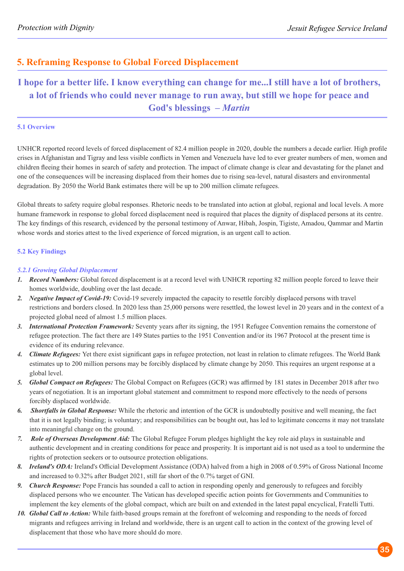## **5. Reframing Response to Global Forced Displacement**

## **I hope for a better life. I know everything can change for me...I still have a lot of brothers, a lot of friends who could never manage to run away, but still we hope for peace and God's blessings –** *Martin*

#### **5.1 Overview**

UNHCR reported record levels of forced displacement of 82.4 million people in 2020, double the numbers a decade earlier. High profile crises in Afghanistan and Tigray and less visible conflicts in Yemen and Venezuela have led to ever greater numbers of men, women and children fleeing their homes in search of safety and protection. The impact of climate change is clear and devastating for the planet and one of the consequences will be increasing displaced from their homes due to rising sea-level, natural disasters and environmental degradation. By 2050 the World Bank estimates there will be up to 200 million climate refugees.

Global threats to safety require global responses. Rhetoric needs to be translated into action at global, regional and local levels. A more humane framework in response to global forced displacement need is required that places the dignity of displaced persons at its centre. The key findings of this research, evidenced by the personal testimony of Anwar, Hibah, Jospin, Tigiste, Amadou, Qammar and Martin whose words and stories attest to the lived experience of forced migration, is an urgent call to action.

### **5.2 Key Findings**

#### *5.2.1 Growing Global Displacement*

- *1. Record Numbers:* Global forced displacement is at a record level with UNHCR reporting 82 million people forced to leave their homes worldwide, doubling over the last decade.
- *2. Negative Impact of Covid-19:* Covid-19 severely impacted the capacity to resettle forcibly displaced persons with travel restrictions and borders closed. In 2020 less than 25,000 persons were resettled, the lowest level in 20 years and in the context of a projected global need of almost 1.5 million places.
- *3. International Protection Framework:* Seventy years after its signing, the 1951 Refugee Convention remains the cornerstone of refugee protection. The fact there are 149 States parties to the 1951 Convention and/or its 1967 Protocol at the present time is evidence of its enduring relevance.
- *4. Climate Refugees:* Yet there exist significant gaps in refugee protection, not least in relation to climate refugees. The World Bank estimates up to 200 million persons may be forcibly displaced by climate change by 2050. This requires an urgent response at a global level.
- *5. Global Compact on Refugees:* The Global Compact on Refugees (GCR) was affirmed by 181 states in December 2018 after two years of negotiation. It is an important global statement and commitment to respond more effectively to the needs of persons forcibly displaced worldwide.
- *6. Shortfalls in Global Response:* While the rhetoric and intention of the GCR is undoubtedly positive and well meaning, the fact that it is not legally binding; is voluntary; and responsibilities can be bought out, has led to legitimate concerns it may not translate into meaningful change on the ground.
- *7. Role of Overseas Development Aid:* The Global Refugee Forum pledges highlight the key role aid plays in sustainable and authentic development and in creating conditions for peace and prosperity. It is important aid is not used as a tool to undermine the rights of protection seekers or to outsource protection obligations.
- *8. Ireland's ODA:* Ireland's Official Development Assistance (ODA) halved from a high in 2008 of 0.59% of Gross National Income and increased to 0.32% after Budget 2021, still far short of the 0.7% target of GNI.
- *9. Church Response:* Pope Francis has sounded a call to action in responding openly and generously to refugees and forcibly displaced persons who we encounter. The Vatican has developed specific action points for Governments and Communities to implement the key elements of the global compact, which are built on and extended in the latest papal encyclical, Fratelli Tutti.
- *10. Global Call to Action:* While faith-based groups remain at the forefront of welcoming and responding to the needs of forced migrants and refugees arriving in Ireland and worldwide, there is an urgent call to action in the context of the growing level of displacement that those who have more should do more.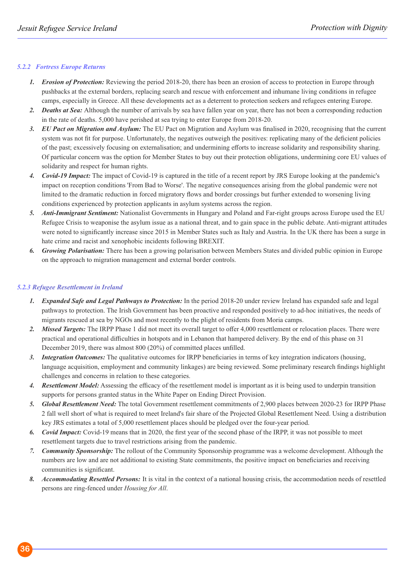#### *5.2.2 Fortress Europe Returns*

- *1. Erosion of Protection:* Reviewing the period 2018-20, there has been an erosion of access to protection in Europe through pushbacks at the external borders, replacing search and rescue with enforcement and inhumane living conditions in refugee camps, especially in Greece. All these developments act as a deterrent to protection seekers and refugees entering Europe.
- *2. Deaths at Sea:* Although the number of arrivals by sea have fallen year on year, there has not been a corresponding reduction in the rate of deaths. 5,000 have perished at sea trying to enter Europe from 2018-20.
- *3. EU Pact on Migration and Asylum:* The EU Pact on Migration and Asylum was finalised in 2020, recognising that the current system was not fit for purpose. Unfortunately, the negatives outweigh the positives: replicating many of the deficient policies of the past; excessively focusing on externalisation; and undermining efforts to increase solidarity and responsibility sharing. Of particular concern was the option for Member States to buy out their protection obligations, undermining core EU values of solidarity and respect for human rights.
- *4. Covid-19 Impact:* The impact of Covid-19 is captured in the title of a recent report by JRS Europe looking at the pandemic's impact on reception conditions 'From Bad to Worse'. The negative consequences arising from the global pandemic were not limited to the dramatic reduction in forced migratory flows and border crossings but further extended to worsening living conditions experienced by protection applicants in asylum systems across the region.
- *5. Anti-Immigrant Sentiment:* Nationalist Governments in Hungary and Poland and Far-right groups across Europe used the EU Refugee Crisis to weaponise the asylum issue as a national threat, and to gain space in the public debate. Anti-migrant attitudes were noted to significantly increase since 2015 in Member States such as Italy and Austria. In the UK there has been a surge in hate crime and racist and xenophobic incidents following BREXIT.
- *6. Growing Polarisation:* There has been a growing polarisation between Members States and divided public opinion in Europe on the approach to migration management and external border controls.

#### *5.2.3 Refugee Resettlement in Ireland*

- *1. Expanded Safe and Legal Pathways to Protection:* In the period 2018-20 under review Ireland has expanded safe and legal pathways to protection. The Irish Government has been proactive and responded positively to ad-hoc initiatives, the needs of migrants rescued at sea by NGOs and most recently to the plight of residents from Moria camps.
- *2. Missed Targets:* The IRPP Phase 1 did not meet its overall target to offer 4,000 resettlement or relocation places. There were practical and operational difficulties in hotspots and in Lebanon that hampered delivery. By the end of this phase on 31 December 2019, there was almost 800 (20%) of committed places unfilled.
- *3. Integration Outcomes:* The qualitative outcomes for IRPP beneficiaries in terms of key integration indicators (housing, language acquisition, employment and community linkages) are being reviewed. Some preliminary research findings highlight challenges and concerns in relation to these categories.
- *4. Resettlement Model:* Assessing the efficacy of the resettlement model is important as it is being used to underpin transition supports for persons granted status in the White Paper on Ending Direct Provision.
- *5. Global Resettlement Need:* The total Government resettlement commitments of 2,900 places between 2020-23 for IRPP Phase 2 fall well short of what is required to meet Ireland's fair share of the Projected Global Resettlement Need. Using a distribution key JRS estimates a total of 5,000 resettlement places should be pledged over the four-year period.
- *6. Covid Impact:* Covid-19 means that in 2020, the first year of the second phase of the IRPP, it was not possible to meet resettlement targets due to travel restrictions arising from the pandemic.
- *7. Community Sponsorship:* The rollout of the Community Sponsorship programme was a welcome development. Although the numbers are low and are not additional to existing State commitments, the positive impact on beneficiaries and receiving communities is significant.
- *8. Accommodating Resettled Persons:* It is vital in the context of a national housing crisis, the accommodation needs of resettled persons are ring-fenced under *Housing for All*.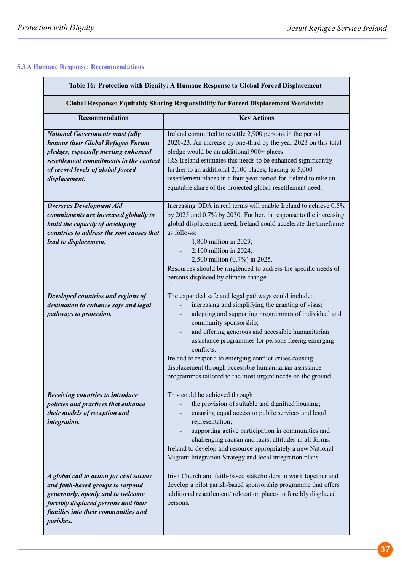### **5.3 A Humane Response: Recommendations**

| Table 16: Protection with Dignity: A Humane Response to Global Forced Displacement<br><b>Global Response: Equitably Sharing Responsibility for Forced Displacement Worldwide</b>                                     |                                                                                                                                                                                                                                                                                                                                                                                                                                                                                                                                     |  |
|----------------------------------------------------------------------------------------------------------------------------------------------------------------------------------------------------------------------|-------------------------------------------------------------------------------------------------------------------------------------------------------------------------------------------------------------------------------------------------------------------------------------------------------------------------------------------------------------------------------------------------------------------------------------------------------------------------------------------------------------------------------------|--|
|                                                                                                                                                                                                                      |                                                                                                                                                                                                                                                                                                                                                                                                                                                                                                                                     |  |
| <b>National Governments must fully</b><br>honour their Global Refugee Forum<br>pledges, especially meeting enhanced<br>resettlement commitments in the context<br>of record levels of global forced<br>displacement. | Ireland committed to resettle 2,900 persons in the period<br>2020-23. An increase by one-third by the year 2023 on this total<br>pledge would be an additional 900+ places.<br>JRS Ireland estimates this needs to be enhanced significantly<br>further to an additional 2,100 places, leading to 5,000<br>resettlement places in a four-year period for Ireland to take an<br>equitable share of the projected global resettlement need.                                                                                           |  |
| <b>Overseas Development Aid</b><br>commitments are increased globally to<br>build the capacity of developing<br>countries to address the root causes that<br>lead to displacement.                                   | Increasing ODA in real terms will enable Ireland to achieve 0.5%<br>by 2025 and 0.7% by 2030. Further, in response to the increasing<br>global displacement need, Ireland could accelerate the timeframe<br>as follows:<br>1,800 million in 2023;<br>2,100 million in 2024;<br>2,500 million (0.7%) in 2025.<br>Resources should be ringfenced to address the specific needs of<br>persons displaced by climate change.                                                                                                             |  |
| Developed countries and regions of<br>destination to enhance safe and legal<br>pathways to protection.                                                                                                               | The expanded safe and legal pathways could include:<br>increasing and simplifying the granting of visas;<br>adopting and supporting programmes of individual and<br>community sponsorship;<br>and offering generous and accessible humanitarian<br>$\overline{\phantom{a}}$<br>assistance programmes for persons fleeing emerging<br>conflicts.<br>Ireland to respond to emerging conflict crises causing<br>displacement through accessible humanitarian assistance<br>programmes tailored to the most urgent needs on the ground. |  |
| Receiving countries to introduce<br>policies and practices that enhance<br>their models of reception and<br>integration.                                                                                             | This could be achieved through<br>the provision of suitable and dignified housing;<br>ensuring equal access to public services and legal<br>representation;<br>supporting active participation in communities and<br>challenging racism and racist attitudes in all forms.<br>Ireland to develop and resource appropriately a new National<br>Migrant Integration Strategy and local integration plans.                                                                                                                             |  |
| A global call to action for civil society<br>and faith-based groups to respond<br>generously, openly and to welcome<br>forcibly displaced persons and their<br>families into their communities and<br>parishes.      | Irish Church and faith-based stakeholders to work together and<br>develop a pilot parish-based sponsorship programme that offers<br>additional resettlement/relocation places to forcibly displaced<br>persons.                                                                                                                                                                                                                                                                                                                     |  |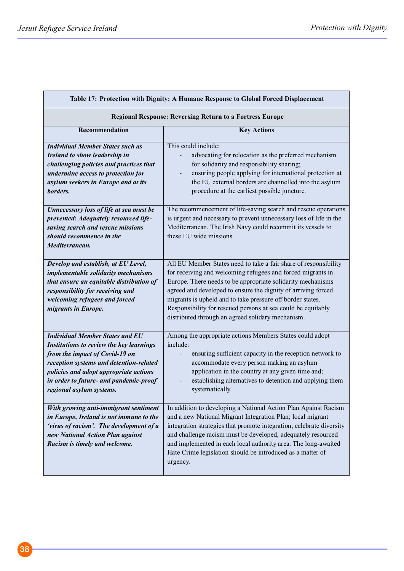| Table 17: Protection with Dignity: A Humane Response to Global Forced Displacement                                                                                                                                                                                              |                                                                                                                                                                                                                                                                                                                                                                                                                                                    |  |
|---------------------------------------------------------------------------------------------------------------------------------------------------------------------------------------------------------------------------------------------------------------------------------|----------------------------------------------------------------------------------------------------------------------------------------------------------------------------------------------------------------------------------------------------------------------------------------------------------------------------------------------------------------------------------------------------------------------------------------------------|--|
| <b>Regional Response: Reversing Return to a Fortress Europe</b>                                                                                                                                                                                                                 |                                                                                                                                                                                                                                                                                                                                                                                                                                                    |  |
| Recommendation                                                                                                                                                                                                                                                                  | <b>Key Actions</b>                                                                                                                                                                                                                                                                                                                                                                                                                                 |  |
| <b>Individual Member States such as</b><br>Ireland to show leadership in<br>challenging policies and practices that<br>undermine access to protection for<br>asylum seekers in Europe and at its<br>borders.                                                                    | This could include:<br>advocating for relocation as the preferred mechanism<br>for solidarity and responsibility sharing;<br>ensuring people applying for international protection at<br>the EU external borders are channelled into the asylum<br>procedure at the earliest possible juncture.                                                                                                                                                    |  |
| Unnecessary loss of life at sea must be<br>prevented: Adequately resourced life-<br>saving search and rescue missions<br>should recommence in the<br>Mediterranean.                                                                                                             | The recommencement of life-saving search and rescue operations<br>is urgent and necessary to prevent unnecessary loss of life in the<br>Mediterranean. The Irish Navy could recommit its vessels to<br>these EU wide missions.                                                                                                                                                                                                                     |  |
| Develop and establish, at EU Level,<br>implementable solidarity mechanisms<br>that ensure an equitable distribution of<br>responsibility for receiving and<br>welcoming refugees and forced<br>migrants in Europe.                                                              | All EU Member States need to take a fair share of responsibility<br>for receiving and welcoming refugees and forced migrants in<br>Europe. There needs to be appropriate solidarity mechanisms<br>agreed and developed to ensure the dignity of arriving forced<br>migrants is upheld and to take pressure off border states.<br>Responsibility for rescued persons at sea could be equitably<br>distributed through an agreed solidary mechanism. |  |
| <b>Individual Member States and EU</b><br>Institutions to review the key learnings<br>from the impact of Covid-19 on<br>reception systems and detention-related<br>policies and adopt appropriate actions<br>in order to future- and pandemic-proof<br>regional asylum systems. | Among the appropriate actions Members States could adopt<br>include:<br>ensuring sufficient capacity in the reception network to<br>accommodate every person making an asylum<br>application in the country at any given time and;<br>establishing alternatives to detention and applying them<br>systematically.                                                                                                                                  |  |
| With growing anti-immigrant sentiment<br>in Europe, Ireland is not immune to the<br>'virus of racism'. The development of a<br>new National Action Plan against<br>Racism is timely and welcome.                                                                                | In addition to developing a National Action Plan Against Racism<br>and a new National Migrant Integration Plan; local migrant<br>integration strategies that promote integration, celebrate diversity<br>and challenge racism must be developed, adequately resourced<br>and implemented in each local authority area. The long-awaited<br>Hate Crime legislation should be introduced as a matter of<br>urgency.                                  |  |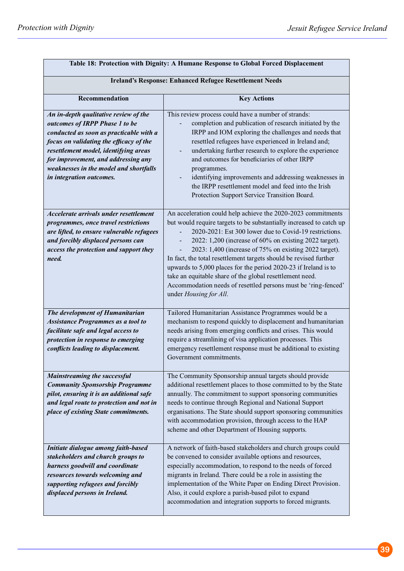| Table 18: Protection with Dignity: A Humane Response to Global Forced Displacement                                                                                                                                                                                                                                  |                                                                                                                                                                                                                                                                                                                                                                                                                                                                                                                                                                                                                   |  |
|---------------------------------------------------------------------------------------------------------------------------------------------------------------------------------------------------------------------------------------------------------------------------------------------------------------------|-------------------------------------------------------------------------------------------------------------------------------------------------------------------------------------------------------------------------------------------------------------------------------------------------------------------------------------------------------------------------------------------------------------------------------------------------------------------------------------------------------------------------------------------------------------------------------------------------------------------|--|
| <b>Ireland's Response: Enhanced Refugee Resettlement Needs</b>                                                                                                                                                                                                                                                      |                                                                                                                                                                                                                                                                                                                                                                                                                                                                                                                                                                                                                   |  |
| Recommendation                                                                                                                                                                                                                                                                                                      | <b>Key Actions</b>                                                                                                                                                                                                                                                                                                                                                                                                                                                                                                                                                                                                |  |
| An in-depth qualitative review of the<br>outcomes of IRPP Phase 1 to be<br>conducted as soon as practicable with a<br>focus on validating the efficacy of the<br>resettlement model, identifying areas<br>for improvement, and addressing any<br>weaknesses in the model and shortfalls<br>in integration outcomes. | This review process could have a number of strands:<br>completion and publication of research initiated by the<br>IRPP and IOM exploring the challenges and needs that<br>resettled refugees have experienced in Ireland and;<br>undertaking further research to explore the experience<br>and outcomes for beneficiaries of other IRPP<br>programmes.<br>identifying improvements and addressing weaknesses in<br>the IRPP resettlement model and feed into the Irish<br>Protection Support Service Transition Board.                                                                                            |  |
| Accelerate arrivals under resettlement<br>programmes, once travel restrictions<br>are lifted, to ensure vulnerable refugees<br>and forcibly displaced persons can<br>access the protection and support they<br>need.                                                                                                | An acceleration could help achieve the 2020-2023 commitments<br>but would require targets to be substantially increased to catch up<br>2020-2021: Est 300 lower due to Covid-19 restrictions.<br>2022: 1,200 (increase of 60% on existing 2022 target).<br>2023: 1,400 (increase of 75% on existing 2022 target).<br>In fact, the total resettlement targets should be revised further<br>upwards to 5,000 places for the period 2020-23 if Ireland is to<br>take an equitable share of the global resettlement need.<br>Accommodation needs of resettled persons must be 'ring-fenced'<br>under Housing for All. |  |
| The development of Humanitarian<br><b>Assistance Programmes as a tool to</b><br>facilitate safe and legal access to<br>protection in response to emerging<br>conflicts leading to displacement.                                                                                                                     | Tailored Humanitarian Assistance Programmes would be a<br>mechanism to respond quickly to displacement and humanitarian<br>needs arising from emerging conflicts and crises. This would<br>require a streamlining of visa application processes. This<br>emergency resettlement response must be additional to existing<br>Government commitments.                                                                                                                                                                                                                                                                |  |
| <b>Mainstreaming the successful</b><br><b>Community Sponsorship Programme</b><br>pilot, ensuring it is an additional safe<br>and legal route to protection and not in<br>place of existing State commitments.                                                                                                       | The Community Sponsorship annual targets should provide<br>additional resettlement places to those committed to by the State<br>annually. The commitment to support sponsoring communities<br>needs to continue through Regional and National Support<br>organisations. The State should support sponsoring communities<br>with accommodation provision, through access to the HAP<br>scheme and other Department of Housing supports.                                                                                                                                                                            |  |
| Initiate dialogue among faith-based<br>stakeholders and church groups to<br>harness goodwill and coordinate<br>resources towards welcoming and<br>supporting refugees and forcibly<br>displaced persons in Ireland.                                                                                                 | A network of faith-based stakeholders and church groups could<br>be convened to consider available options and resources,<br>especially accommodation, to respond to the needs of forced<br>migrants in Ireland. There could be a role in assisting the<br>implementation of the White Paper on Ending Direct Provision.<br>Also, it could explore a parish-based pilot to expand<br>accommodation and integration supports to forced migrants.                                                                                                                                                                   |  |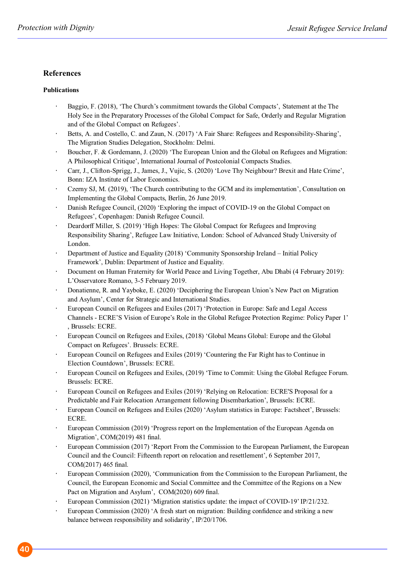### **References**

### **Publications**

- Baggio, F. (2018), 'The Church's commitment towards the Global Compacts', Statement at the The Holy See in the Preparatory Processes of the Global Compact for Safe, Orderly and Regular Migration and of the Global Compact on Refugees'.
- Betts, A. and Costello, C. and Zaun, N. (2017) 'A Fair Share: Refugees and Responsibility-Sharing', The Migration Studies Delegation, Stockholm: Delmi.
- Boucher, F. & Gordemann, J. (2020) 'The European Union and the Global on Refugees and Migration: A Philosophical Critique', International Journal of Postcolonial Compacts Studies.
- Carr, J., Clifton-Sprigg, J., James, J., Vujic, S. (2020) 'Love Thy Neighbour? Brexit and Hate Crime', Bonn: IZA Institute of Labor Economics.
- Czerny SJ, M. (2019), 'The Church contributing to the GCM and its implementation', Consultation on Implementing the Global Compacts, Berlin, 26 June 2019.
- Danish Refugee Council, (2020) 'Exploring the impact of COVID-19 on the Global Compact on Refugees', Copenhagen: Danish Refugee Council.
- Deardorff Miller, S. (2019) 'High Hopes: The Global Compact for Refugees and Improving Responsibility Sharing', Refugee Law Initiative, London: School of Advanced Study University of London.
- Department of Justice and Equality (2018) 'Community Sponsorship Ireland Initial Policy Framework', Dublin: Department of Justice and Equality.
- Document on Human Fraternity for World Peace and Living Together, Abu Dhabi (4 February 2019): L'Osservatore Romano, 3-5 February 2019.
- Donatienne, R. and Yayboke, E. (2020) 'Deciphering the European Union's New Pact on Migration and Asylum', Center for Strategic and International Studies.
- European Council on Refugees and Exiles (2017) 'Protection in Europe: Safe and Legal Access Channels - ECRE'S Vision of Europe's Role in the Global Refugee Protection Regime: Policy Paper 1' , Brussels: ECRE.
- European Council on Refugees and Exiles, (2018) 'Global Means Global: Europe and the Global Compact on Refugees'. Brussels: ECRE.
- European Council on Refugees and Exiles (2019) 'Countering the Far Right has to Continue in Election Countdown', Brussels: ECRE.
- European Council on Refugees and Exiles, (2019) 'Time to Commit: Using the Global Refugee Forum. Brussels: ECRE.
- European Council on Refugees and Exiles (2019) 'Relying on Relocation: ECRE'S Proposal for a Predictable and Fair Relocation Arrangement following Disembarkation', Brussels: ECRE.
- European Council on Refugees and Exiles (2020) 'Asylum statistics in Europe: Factsheet', Brussels: ECRE.
- European Commission (2019) 'Progress report on the Implementation of the European Agenda on Migration', COM(2019) 481 final.
- European Commission (2017) 'Report From the Commission to the European Parliament, the European Council and the Council: Fifteenth report on relocation and resettlement', 6 September 2017, COM(2017) 465 final.
- European Commission (2020), 'Communication from the Commission to the European Parliament, the Council, the European Economic and Social Committee and the Committee of the Regions on a New Pact on Migration and Asylum', COM(2020) 609 final.
- European Commission (2021) 'Migration statistics update: the impact of COVID-19'IP/21/232.
- European Commission (2020) 'A fresh start on migration: Building confidence and striking a new balance between responsibility and solidarity', IP/20/1706.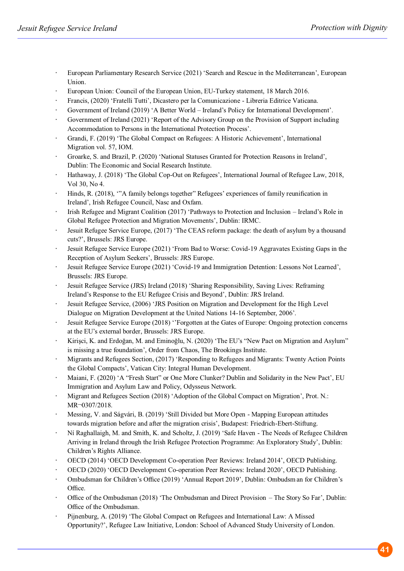- European Parliamentary Research Service (2021) 'Search and Rescue in the Mediterranean', European Union.
- European Union: Council of the European Union, EU-Turkey statement, 18 March 2016.
- Francis, (2020) 'Fratelli Tutti', Dicastero per la Comunicazione Libreria Editrice Vaticana.
- Government of Ireland (2019) 'A Better World Ireland's Policy for International Development'.
- Government of Ireland (2021) 'Report of the Advisory Group on the Provision of Support including Accommodation to Persons in the International Protection Process'.
- Grandi, F. (2019) 'The Global Compact on Refugees: A Historic Achievement', International Migration vol. 57, IOM.
- Groarke, S. and Brazil, P. (2020) 'National Statuses Granted for Protection Reasons in Ireland', Dublin: The Economic and Social Research Institute.
- Hathaway, J. (2018) 'The Global Cop-Out on Refugees', International Journal of Refugee Law, 2018, Vol 30, No 4.
- Hinds, R. (2018), '"A family belongs together" Refugees' experiences of family reunification in Ireland', Irish Refugee Council, Nasc and Oxfam.
- Irish Refugee and Migrant Coalition (2017) 'Pathways to Protection and Inclusion Ireland's Role in Global Refugee Protection and Migration Movements', Dublin: IRMC.
- Jesuit Refugee Service Europe, (2017) 'The CEAS reform package: the death of asylum by a thousand cuts?', Brussels: JRS Europe.
- Jesuit Refugee Service Europe (2021) 'From Bad to Worse: Covid-19 Aggravates Existing Gaps in the Reception of Asylum Seekers', Brussels: JRS Europe.
- Jesuit Refugee Service Europe (2021) 'Covid-19 and Immigration Detention: Lessons Not Learned', Brussels: JRS Europe.
- Jesuit Refugee Service (JRS) Ireland (2018) 'Sharing Responsibility, Saving Lives: Reframing Ireland's Response to the EU Refugee Crisis and Beyond', Dublin: JRS Ireland.
- Jesuit Refugee Service, (2006) 'JRS Position on Migration and Development for the High Level Dialogue on Migration Development at the United Nations 14-16 September, 2006'.
- Jesuit Refugee Service Europe (2018) ''Forgotten at the Gates of Europe: Ongoing protection concerns at the EU's external border, Brussels: JRS Europe.
- Kirişci, K. and Erdoğan, M. and Eminoğlu, N. (2020) 'The EU's "New Pact on Migration and Asylum" is missing a true foundation', Order from Chaos, The Brookings Institute.
- Migrants and Refugees Section, (2017) 'Responding to Refugees and Migrants: Twenty Action Points the Global Compacts', Vatican City: Integral Human Development.
- Maiani, F. (2020) 'A "Fresh Start" or One More Clunker? Dublin and Solidarity in the New Pact', EU Immigration and Asylum Law and Policy, Odysseus Network.
- Migrant and Refugees Section (2018) 'Adoption of the Global Compact on Migration', Prot. N.: MR¬0307/2018.
- Messing, V. and Ságvári, B. (2019) 'Still Divided but More Open Mapping European attitudes towards migration before and after the migration crisis', Budapest: Friedrich-Ebert-Stiftung.
- Ní Raghallaigh, M. and Smith, K. and Scholtz, J. (2019) 'Safe Haven The Needs of Refugee Children Arriving in Ireland through the Irish Refugee Protection Programme: An Exploratory Study', Dublin: Children's Rights Alliance.
- OECD (2014) 'OECD Development Co-operation Peer Reviews: Ireland 2014', OECD Publishing.
- OECD (2020) 'OECD Development Co-operation Peer Reviews: Ireland 2020', OECD Publishing.
- Ombudsman for Children's Office (2019) 'Annual Report 2019', Dublin: Ombudsman for Children's Office.
- Office of the Ombudsman (2018) 'The Ombudsman and Direct Provision The Story So Far', Dublin: Office of the Ombudsman.
- Pijnenburg, A. (2019) 'The Global Compact on Refugees and International Law: A Missed Opportunity?', Refugee Law Initiative, London: School of Advanced Study University of London.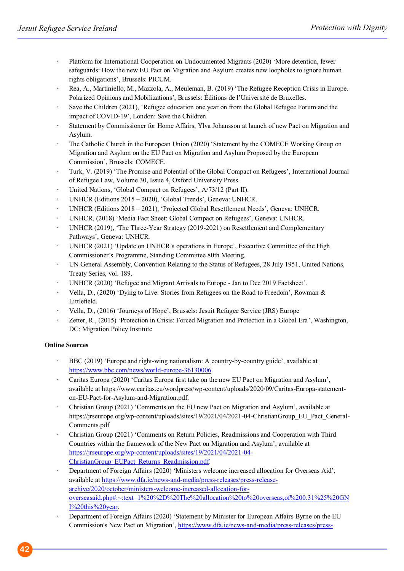- Platform for International Cooperation on Undocumented Migrants (2020) 'More detention, fewer safeguards: How the new EU Pact on Migration and Asylum creates new loopholes to ignore human rights obligations', Brussels: PICUM.
- Rea, A., Martiniello, M., Mazzola, A., Meuleman, B. (2019) 'The Refugee Reception Crisis in Europe. Polarized Opinions and Mobilizations', Brussels: Éditions de l'Université de Bruxelles.
- Save the Children (2021), 'Refugee education one year on from the Global Refugee Forum and the impact of COVID-19', London: Save the Children.
- Statement by Commissioner for Home Affairs, Ylva Johansson at launch of new Pact on Migration and Asylum.
- The Catholic Church in the European Union (2020) 'Statement by the COMECE Working Group on Migration and Asylum on the EU Pact on Migration and Asylum Proposed by the European Commission', Brussels: COMECE.
- Turk, V. (2019) 'The Promise and Potential of the Global Compact on Refugees', International Journal of Refugee Law, Volume 30, Issue 4, Oxford University Press.
- United Nations, 'Global Compact on Refugees', A/73/12 (Part II).
- UNHCR (Editions 2015 2020), 'Global Trends', Geneva: UNHCR.
- UNHCR (Editions 2018 2021), 'Projected Global Resettlement Needs', Geneva: UNHCR.
- UNHCR, (2018) 'Media Fact Sheet: Global Compact on Refugees', Geneva: UNHCR.
- UNHCR (2019), 'The Three-Year Strategy (2019-2021) on Resettlement and Complementary Pathways', Geneva: UNHCR.
- UNHCR (2021) 'Update on UNHCR's operations in Europe', Executive Committee of the High Commissioner's Programme, Standing Committee 80th Meeting.
- UN General Assembly, Convention Relating to the Status of Refugees, 28 July 1951, United Nations, Treaty Series, vol. 189.
- UNHCR (2020) 'Refugee and Migrant Arrivals to Europe Jan to Dec 2019 Factsheet'.
- Vella, D., (2020) 'Dying to Live: Stories from Refugees on the Road to Freedom', Rowman & Littlefield.
- Vella, D., (2016) 'Journeys of Hope', Brussels: Jesuit Refugee Service (JRS) Europe
- Zetter, R., (2015) 'Protection in Crisis: Forced Migration and Protection in a Global Era', Washington, DC: Migration Policy Institute

#### **Online Sources**

- BBC (2019) 'Europe and right-wing nationalism: A country-by-country guide', available at https://www.bbc.com/news/world-europe-36130006.
- Caritas Europa (2020) 'Caritas Europa first take on the new EU Pact on Migration and Asylum', available at https://www.caritas.eu/wordpress/wp-content/uploads/2020/09/Caritas-Europa-statementon-EU-Pact-for-Asylum-and-Migration.pdf.
- Christian Group (2021) 'Comments on the EU new Pact on Migration and Asylum', available at https://jrseurope.org/wp-content/uploads/sites/19/2021/04/2021-04-ChristianGroup\_EU\_Pact\_General-Comments.pdf
- Christian Group (2021) 'Comments on Return Policies, Readmissions and Cooperation with Third Countries within the framework of the New Pact on Migration and Asylum', available at https://jrseurope.org/wp-content/uploads/sites/19/2021/04/2021-04- ChristianGroup\_EUPact\_Returns\_Readmission.pdf.
- Department of Foreign Affairs (2020) 'Ministers welcome increased allocation for Overseas Aid', available at https://www.dfa.ie/news-and-media/press-releases/press-releasearchive/2020/october/ministers-welcome-increased-allocation-foroverseasaid.php#:~:text=1%20%2D%20The%20allocation%20to%20overseas,of%200.31%25%20GN I%20this%20year.
- Department of Foreign Affairs (2020) 'Statement by Minister for European Affairs Byrne on the EU Commission's New Pact on Migration', https://www.dfa.ie/news-and-media/press-releases/press-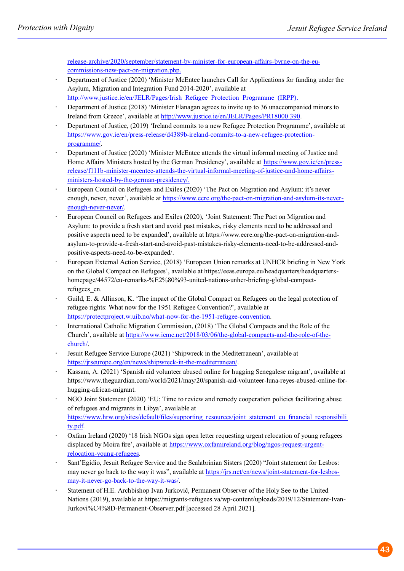release-archive/2020/september/statement-by-minister-for-european-affairs-byrne-on-the-eucommissions-new-pact-on-migration.php.

- Department of Justice (2020) 'Minister McEntee launches Call for Applications for funding under the Asylum, Migration and Integration Fund 2014-2020', available at http://www.justice.ie/en/JELR/Pages/Irish\_Refugee\_Protection\_Programme\_(IRPP).
- Department of Justice (2018) 'Minister Flanagan agrees to invite up to 36 unaccompanied minors to Ireland from Greece', available at http://www.justice.ie/en/JELR/Pages/PR18000 390.
- Department of Justice, (2019) 'Ireland commits to a new Refugee Protection Programme', available at https://www.gov.ie/en/press-release/d4389b-ireland-commits-to-a-new-refugee-protectionprogramme/.
- Department of Justice (2020) 'Minister McEntee attends the virtual informal meeting of Justice and Home Affairs Ministers hosted by the German Presidency', available at https://www.gov.ie/en/pressrelease/f111b-minister-mcentee-attends-the-virtual-informal-meeting-of-justice-and-home-affairsministers-hosted-by-the-german-presidency/.
- European Council on Refugees and Exiles (2020) 'The Pact on Migration and Asylum: it's never enough, never, never', available at https://www.ecre.org/the-pact-on-migration-and-asylum-its-neverenough-never-never/.
- European Council on Refugees and Exiles (2020), 'Joint Statement: The Pact on Migration and Asylum: to provide a fresh start and avoid past mistakes, risky elements need to be addressed and positive aspects need to be expanded', available at https://www.ecre.org/the-pact-on-migration-andasylum-to-provide-a-fresh-start-and-avoid-past-mistakes-risky-elements-need-to-be-addressed-andpositive-aspects-need-to-be-expanded/.
- European External Action Service, (2018) 'European Union remarks at UNHCR briefing in New York on the Global Compact on Refugees', available at https://eeas.europa.eu/headquarters/headquartershomepage/44572/eu-remarks-%E2%80%93-united-nations-unhcr-briefing-global-compactrefugees\_en.
- Guild, E. & Allinson, K. 'The impact of the Global Compact on Refugees on the legal protection of refugee rights: What now for the 1951 Refugee Convention?', available at https://protectproject.w.uib.no/what-now-for-the-1951-refugee-convention.
- International Catholic Migration Commission, (2018) 'The Global Compacts and the Role of the Church', available at https://www.icmc.net/2018/03/06/the-global-compacts-and-the-role-of-thechurch/.
- Jesuit Refugee Service Europe (2021) 'Shipwreck in the Mediterranean', available at https://jrseurope.org/en/news/shipwreck-in-the-mediterranean/.
- Kassam, A. (2021) 'Spanish aid volunteer abused online for hugging Senegalese migrant', available at https://www.theguardian.com/world/2021/may/20/spanish-aid-volunteer-luna-reyes-abused-online-forhugging-african-migrant.
- NGO Joint Statement (2020) 'EU: Time to review and remedy cooperation policies facilitating abuse of refugees and migrants in Libya', available at https://www.hrw.org/sites/default/files/supporting\_resources/joint\_statement\_eu\_financial\_responsibili ty.pdf.
- Oxfam Ireland (2020) '18 Irish NGOs sign open letter requesting urgent relocation of young refugees displaced by Moira fire', available at https://www.oxfamireland.org/blog/ngos-request-urgentrelocation-young-refugees.
- Sant'Egidio, Jesuit Refugee Service and the Scalabrinian Sisters (2020) "Joint statement for Lesbos: may never go back to the way it was", available at https://jrs.net/en/news/joint-statement-for-lesbosmay-it-never-go-back-to-the-way-it-was/.
- Statement of H.E. Archbishop Ivan Jurkovič, Permanent Observer of the Holy See to the United Nations (2019), available at https://migrants-refugees.va/wp-content/uploads/2019/12/Statement-Ivan-Jurkovi%C4%8D-Permanent-Observer.pdf [accessed 28 April 2021].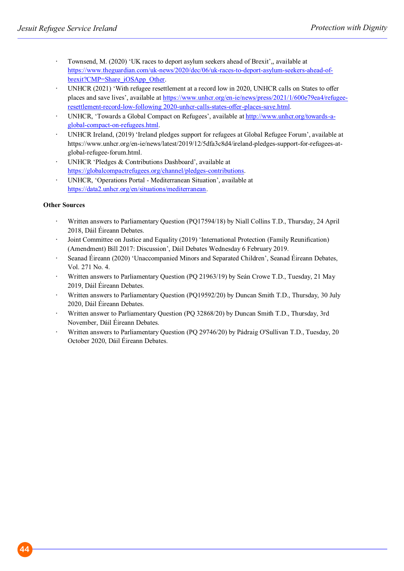- Townsend, M. (2020) 'UK races to deport asylum seekers ahead of Brexit',, available at https://www.theguardian.com/uk-news/2020/dec/06/uk-races-to-deport-asylum-seekers-ahead-ofbrexit?CMP=Share\_iOSApp\_Other.
- UNHCR (2021) 'With refugee resettlement at a record low in 2020, UNHCR calls on States to offer places and save lives', available at https://www.unhcr.org/en-ie/news/press/2021/1/600e79ea4/refugeeresettlement-record-low-following 2020-unhcr-calls-states-offer-places-save.html.
- UNHCR, 'Towards a Global Compact on Refugees', available at http://www.unhcr.org/towards-aglobal-compact-on-refugees.html.
- UNHCR Ireland, (2019) 'Ireland pledges support for refugees at Global Refugee Forum', available at https://www.unhcr.org/en-ie/news/latest/2019/12/5dfa3c8d4/ireland-pledges-support-for-refugees-atglobal-refugee-forum.html.
- UNHCR 'Pledges & Contributions Dashboard', available at https://globalcompactrefugees.org/channel/pledges-contributions.
- UNHCR, 'Operations Portal Mediterranean Situation', available at https://data2.unhcr.org/en/situations/mediterranean.

#### **Other Sources**

- Written answers to Parliamentary Question (PQ17594/18) by Niall Collins T.D., Thursday, 24 April  $\overline{a}$ 2018, Dáil Éireann Debates.
- Joint Committee on Justice and Equality (2019) 'International Protection (Family Reunification) (Amendment) Bill 2017: Discussion', Dáil Debates Wednesday 6 February 2019.
- Seanad Éireann (2020) 'Unaccompanied Minors and Separated Children', Seanad Éireann Debates, Vol. 271 No. 4.
- Written answers to Parliamentary Question (PQ 21963/19) by Seán Crowe T.D., Tuesday, 21 May 2019, Dáil Éireann Debates.
- Written answers to Parliamentary Question (PQ19592/20) by Duncan Smith T.D., Thursday, 30 July 2020, Dáil Éireann Debates.
- Written answer to Parliamentary Question (PQ 32868/20) by Duncan Smith T.D., Thursday, 3rd November, Dáil Éireann Debates.
- Written answers to Parliamentary Question (PQ 29746/20) by Pádraig O'Sullivan T.D., Tuesday, 20 October 2020, Dáil Éireann Debates.